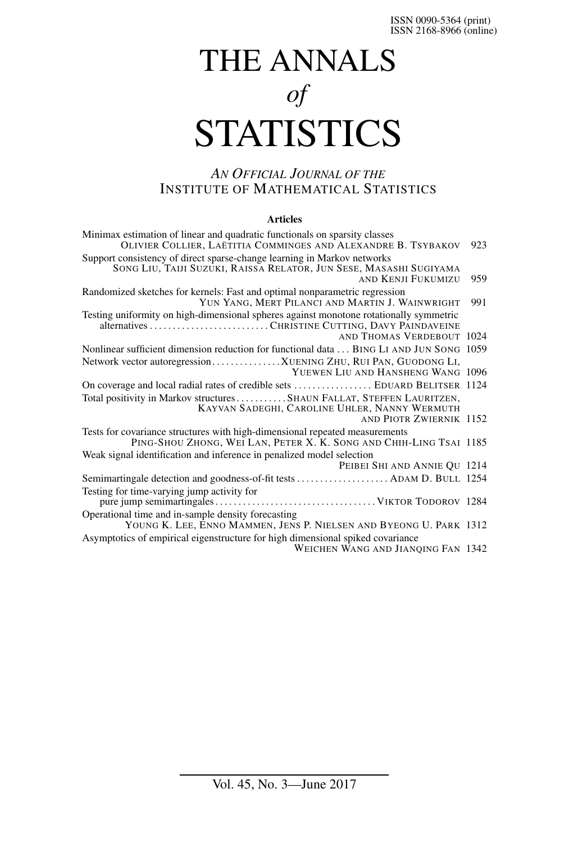# THE ANNALS *of* **STATISTICS**

# *AN OFFICIAL JOURNAL OF THE* INSTITUTE OF MATHEMATICAL STATISTICS

#### **Articles**

| Minimax estimation of linear and quadratic functionals on sparsity classes<br>OLIVIER COLLIER, LAETITIA COMMINGES AND ALEXANDRE B. TSYBAKOV               | 923 |
|-----------------------------------------------------------------------------------------------------------------------------------------------------------|-----|
| Support consistency of direct sparse-change learning in Markov networks<br>SONG LIU, TAIJI SUZUKI, RAISSA RELATOR, JUN SESE, MASASHI SUGIYAMA             |     |
| <b>AND KENJI FUKUMIZU</b>                                                                                                                                 | 959 |
| Randomized sketches for kernels: Fast and optimal nonparametric regression<br>YUN YANG, MERT PILANCI AND MARTIN J. WAINWRIGHT                             | 991 |
| Testing uniformity on high-dimensional spheres against monotone rotationally symmetric<br>AND THOMAS VERDEBOUT 1024                                       |     |
| Nonlinear sufficient dimension reduction for functional data BING LI AND JUN SONG 1059                                                                    |     |
| Network vector autoregressionXUENING ZHU, RUI PAN, GUODONG LI,<br>YUEWEN LIU AND HANSHENG WANG 1096                                                       |     |
| On coverage and local radial rates of credible sets  EDUARD BELITSER 1124                                                                                 |     |
| Total positivity in Markov structures SHAUN FALLAT, STEFFEN LAURITZEN,<br>KAYVAN SADEGHI, CAROLINE UHLER, NANNY WERMUTH<br><b>AND PIOTR ZWIERNIK 1152</b> |     |
| Tests for covariance structures with high-dimensional repeated measurements                                                                               |     |
| PING-SHOU ZHONG, WEI LAN, PETER X. K. SONG AND CHIH-LING TSAI 1185                                                                                        |     |
| Weak signal identification and inference in penalized model selection                                                                                     |     |
| PEIBEI SHI AND ANNIE QU 1214                                                                                                                              |     |
|                                                                                                                                                           |     |
| Testing for time-varying jump activity for                                                                                                                |     |
| Operational time and in-sample density forecasting                                                                                                        |     |
| YOUNG K. LEE, ENNO MAMMEN, JENS P. NIELSEN AND BYEONG U. PARK 1312                                                                                        |     |
| Asymptotics of empirical eigenstructure for high dimensional spiked covariance<br>WEICHEN WANG AND JIANQING FAN 1342                                      |     |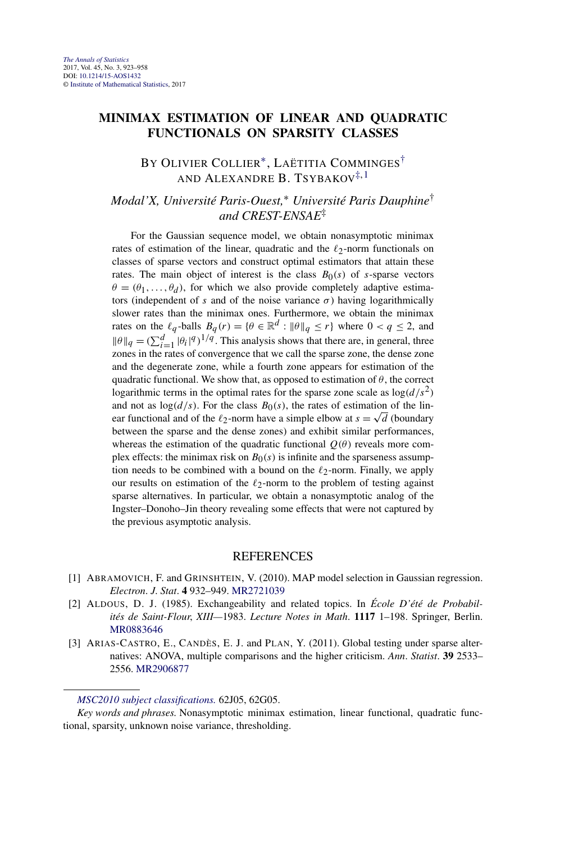# <span id="page-1-0"></span>**MINIMAX ESTIMATION OF LINEAR AND QUADRATIC FUNCTIONALS ON SPARSITY CLASSES**

# BY OLIVIER COLLIER∗, LAËTITIA COMMINGES† AND ALEXANDRE B. TSYBAKOV<sup>‡, 1</sup>

# *Modal'X, Université Paris-Ouest,*<sup>∗</sup> *Université Paris Dauphine*† *and CREST-ENSAE*‡

For the Gaussian sequence model, we obtain nonasymptotic minimax rates of estimation of the linear, quadratic and the  $\ell_2$ -norm functionals on classes of sparse vectors and construct optimal estimators that attain these rates. The main object of interest is the class  $B_0(s)$  of *s*-sparse vectors  $\theta = (\theta_1, \dots, \theta_d)$ , for which we also provide completely adaptive estimators (independent of *s* and of the noise variance  $\sigma$ ) having logarithmically slower rates than the minimax ones. Furthermore, we obtain the minimax rates on the  $\ell_q$ -balls  $B_q(r) = \{ \theta \in \mathbb{R}^d : \|\theta\|_q \le r \}$  where  $0 < q \le 2$ , and  $\|\theta\|_q = (\sum_{i=1}^d |\theta_i|^q)^{1/q}$ . This analysis shows that there are, in general, three zones in the rates of convergence that we call the sparse zone, the dense zone and the degenerate zone, while a fourth zone appears for estimation of the quadratic functional. We show that, as opposed to estimation of  $\theta$ , the correct logarithmic terms in the optimal rates for the sparse zone scale as  $\log(d/s^2)$ and not as  $log(d/s)$ . For the class  $B_0(s)$ , the rates of estimation of the linand not as  $log(a/s)$ . For the class  $B_0(s)$ , the rates of estimation of the lin-<br>ear functional and of the  $\ell_2$ -norm have a simple elbow at  $s = \sqrt{d}$  (boundary between the sparse and the dense zones) and exhibit similar performances, whereas the estimation of the quadratic functional  $Q(\theta)$  reveals more complex effects: the minimax risk on  $B<sub>0</sub>(s)$  is infinite and the sparseness assumption needs to be combined with a bound on the  $\ell_2$ -norm. Finally, we apply our results on estimation of the  $\ell_2$ -norm to the problem of testing against sparse alternatives. In particular, we obtain a nonasymptotic analog of the Ingster–Donoho–Jin theory revealing some effects that were not captured by the previous asymptotic analysis.

- [1] ABRAMOVICH, F. and GRINSHTEIN, V. (2010). MAP model selection in Gaussian regression. *Electron*. *J*. *Stat*. **4** 932–949. [MR2721039](http://www.ams.org/mathscinet-getitem?mr=2721039)
- [2] ALDOUS, D. J. (1985). Exchangeability and related topics. In *École D'été de Probabilités de Saint-Flour*, *XIII—*1983. *Lecture Notes in Math*. **1117** 1–198. Springer, Berlin. [MR0883646](http://www.ams.org/mathscinet-getitem?mr=0883646)
- [3] ARIAS-CASTRO, E., CANDÈS, E. J. and PLAN, Y. (2011). Global testing under sparse alternatives: ANOVA, multiple comparisons and the higher criticism. *Ann*. *Statist*. **39** 2533– 2556. [MR2906877](http://www.ams.org/mathscinet-getitem?mr=2906877)

*[MSC2010 subject classifications.](http://www.ams.org/mathscinet/msc/msc2010.html)* 62J05, 62G05.

*Key words and phrases.* Nonasymptotic minimax estimation, linear functional, quadratic functional, sparsity, unknown noise variance, thresholding.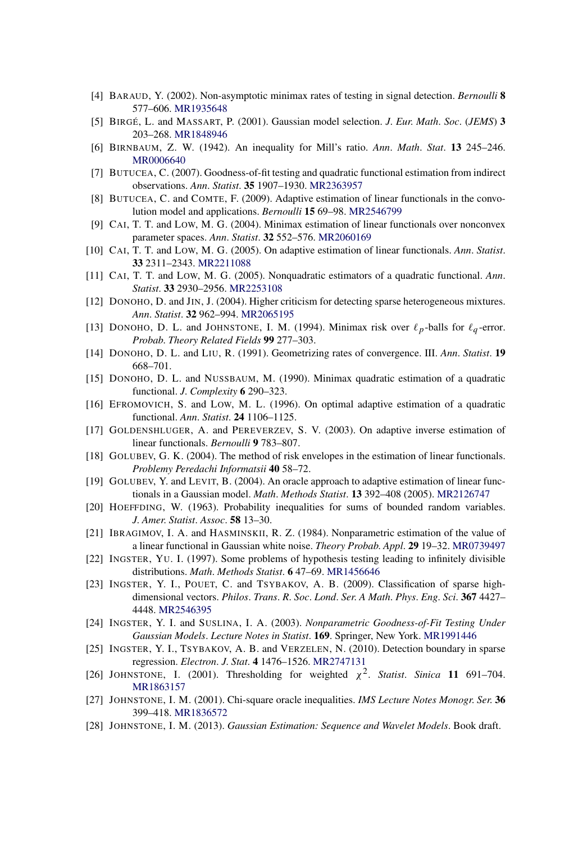- [4] BARAUD, Y. (2002). Non-asymptotic minimax rates of testing in signal detection. *Bernoulli* **8** 577–606. [MR1935648](http://www.ams.org/mathscinet-getitem?mr=1935648)
- [5] BIRGÉ, L. and MASSART, P. (2001). Gaussian model selection. *J*. *Eur*. *Math*. *Soc*. (*JEMS*) **3** 203–268. [MR1848946](http://www.ams.org/mathscinet-getitem?mr=1848946)
- [6] BIRNBAUM, Z. W. (1942). An inequality for Mill's ratio. *Ann*. *Math*. *Stat*. **13** 245–246. [MR0006640](http://www.ams.org/mathscinet-getitem?mr=0006640)
- [7] BUTUCEA, C. (2007). Goodness-of-fit testing and quadratic functional estimation from indirect observations. *Ann*. *Statist*. **35** 1907–1930. [MR2363957](http://www.ams.org/mathscinet-getitem?mr=2363957)
- [8] BUTUCEA, C. and COMTE, F. (2009). Adaptive estimation of linear functionals in the convolution model and applications. *Bernoulli* **15** 69–98. [MR2546799](http://www.ams.org/mathscinet-getitem?mr=2546799)
- [9] CAI, T. T. and LOW, M. G. (2004). Minimax estimation of linear functionals over nonconvex parameter spaces. *Ann*. *Statist*. **32** 552–576. [MR2060169](http://www.ams.org/mathscinet-getitem?mr=2060169)
- [10] CAI, T. T. and LOW, M. G. (2005). On adaptive estimation of linear functionals. *Ann*. *Statist*. **33** 2311–2343. [MR2211088](http://www.ams.org/mathscinet-getitem?mr=2211088)
- [11] CAI, T. T. and LOW, M. G. (2005). Nonquadratic estimators of a quadratic functional. *Ann*. *Statist*. **33** 2930–2956. [MR2253108](http://www.ams.org/mathscinet-getitem?mr=2253108)
- [12] DONOHO, D. and JIN, J. (2004). Higher criticism for detecting sparse heterogeneous mixtures. *Ann*. *Statist*. **32** 962–994. [MR2065195](http://www.ams.org/mathscinet-getitem?mr=2065195)
- [13] DONOHO, D. L. and JOHNSTONE, I. M. (1994). Minimax risk over  $\ell_p$ -balls for  $\ell_q$ -error. *Probab*. *Theory Related Fields* **99** 277–303.
- [14] DONOHO, D. L. and LIU, R. (1991). Geometrizing rates of convergence. III. *Ann*. *Statist*. **19** 668–701.
- [15] DONOHO, D. L. and NUSSBAUM, M. (1990). Minimax quadratic estimation of a quadratic functional. *J*. *Complexity* **6** 290–323.
- [16] EFROMOVICH, S. and LOW, M. L. (1996). On optimal adaptive estimation of a quadratic functional. *Ann*. *Statist*. **24** 1106–1125.
- [17] GOLDENSHLUGER, A. and PEREVERZEV, S. V. (2003). On adaptive inverse estimation of linear functionals. *Bernoulli* **9** 783–807.
- [18] GOLUBEV, G. K. (2004). The method of risk envelopes in the estimation of linear functionals. *Problemy Peredachi Informatsii* **40** 58–72.
- [19] GOLUBEV, Y. and LEVIT, B. (2004). An oracle approach to adaptive estimation of linear functionals in a Gaussian model. *Math*. *Methods Statist*. **13** 392–408 (2005). [MR2126747](http://www.ams.org/mathscinet-getitem?mr=2126747)
- [20] HOEFFDING, W. (1963). Probability inequalities for sums of bounded random variables. *J*. *Amer*. *Statist*. *Assoc*. **58** 13–30.
- [21] IBRAGIMOV, I. A. and HASMINSKII, R. Z. (1984). Nonparametric estimation of the value of a linear functional in Gaussian white noise. *Theory Probab*. *Appl*. **29** 19–32. [MR0739497](http://www.ams.org/mathscinet-getitem?mr=0739497)
- [22] INGSTER, YU. I. (1997). Some problems of hypothesis testing leading to infinitely divisible distributions. *Math*. *Methods Statist*. **6** 47–69. [MR1456646](http://www.ams.org/mathscinet-getitem?mr=1456646)
- [23] INGSTER, Y. I., POUET, C. and TSYBAKOV, A. B. (2009). Classification of sparse highdimensional vectors. *Philos*. *Trans*. *R*. *Soc*. *Lond*. *Ser*. *A Math*. *Phys*. *Eng*. *Sci*. **367** 4427– 4448. [MR2546395](http://www.ams.org/mathscinet-getitem?mr=2546395)
- [24] INGSTER, Y. I. and SUSLINA, I. A. (2003). *Nonparametric Goodness-of-Fit Testing Under Gaussian Models*. *Lecture Notes in Statist*. **169**. Springer, New York. [MR1991446](http://www.ams.org/mathscinet-getitem?mr=1991446)
- [25] INGSTER, Y. I., TSYBAKOV, A. B. and VERZELEN, N. (2010). Detection boundary in sparse regression. *Electron*. *J*. *Stat*. **4** 1476–1526. [MR2747131](http://www.ams.org/mathscinet-getitem?mr=2747131)
- [26] JOHNSTONE, I. (2001). Thresholding for weighted  $\chi^2$ . *Statist. Sinica* 11 691–704. [MR1863157](http://www.ams.org/mathscinet-getitem?mr=1863157)
- [27] JOHNSTONE, I. M. (2001). Chi-square oracle inequalities. *IMS Lecture Notes Monogr*. *Ser*. **36** 399–418. [MR1836572](http://www.ams.org/mathscinet-getitem?mr=1836572)
- [28] JOHNSTONE, I. M. (2013). *Gaussian Estimation: Sequence and Wavelet Models*. Book draft.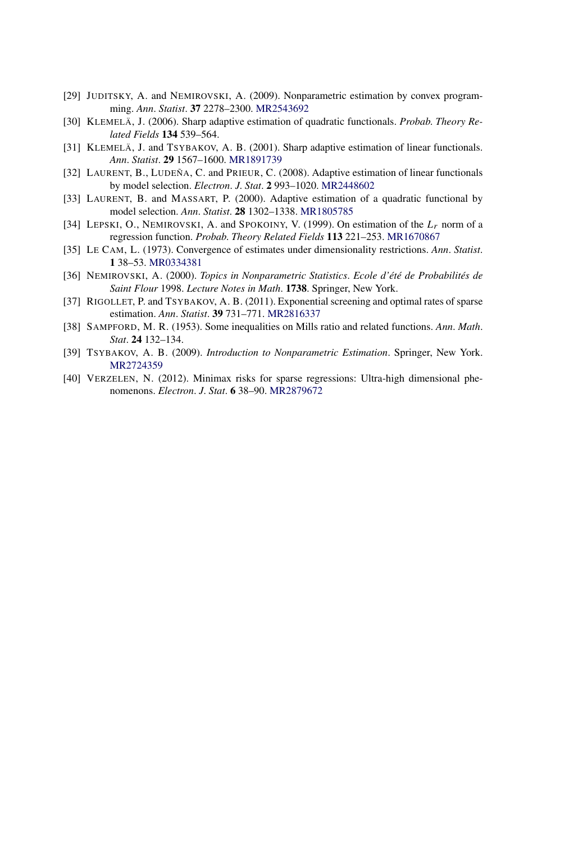- [29] JUDITSKY, A. and NEMIROVSKI, A. (2009). Nonparametric estimation by convex programming. *Ann*. *Statist*. **37** 2278–2300. [MR2543692](http://www.ams.org/mathscinet-getitem?mr=2543692)
- [30] KLEMELÄ, J. (2006). Sharp adaptive estimation of quadratic functionals. *Probab*. *Theory Related Fields* **134** 539–564.
- [31] KLEMELÄ, J. and TSYBAKOV, A. B. (2001). Sharp adaptive estimation of linear functionals. *Ann*. *Statist*. **29** 1567–1600. [MR1891739](http://www.ams.org/mathscinet-getitem?mr=1891739)
- [32] LAURENT, B., LUDEÑA, C. and PRIEUR, C. (2008). Adaptive estimation of linear functionals by model selection. *Electron*. *J*. *Stat*. **2** 993–1020. [MR2448602](http://www.ams.org/mathscinet-getitem?mr=2448602)
- [33] LAURENT, B. and MASSART, P. (2000). Adaptive estimation of a quadratic functional by model selection. *Ann*. *Statist*. **28** 1302–1338. [MR1805785](http://www.ams.org/mathscinet-getitem?mr=1805785)
- [34] LEPSKI, O., NEMIROVSKI, A. and SPOKOINY, V. (1999). On estimation of the *Lr* norm of a regression function. *Probab*. *Theory Related Fields* **113** 221–253. [MR1670867](http://www.ams.org/mathscinet-getitem?mr=1670867)
- [35] LE CAM, L. (1973). Convergence of estimates under dimensionality restrictions. *Ann*. *Statist*. **1** 38–53. [MR0334381](http://www.ams.org/mathscinet-getitem?mr=0334381)
- [36] NEMIROVSKI, A. (2000). *Topics in Nonparametric Statistics*. *Ecole d'été de Probabilités de Saint Flour* 1998. *Lecture Notes in Math*. **1738**. Springer, New York.
- [37] RIGOLLET, P. and TSYBAKOV, A. B. (2011). Exponential screening and optimal rates of sparse estimation. *Ann*. *Statist*. **39** 731–771. [MR2816337](http://www.ams.org/mathscinet-getitem?mr=2816337)
- [38] SAMPFORD, M. R. (1953). Some inequalities on Mills ratio and related functions. *Ann*. *Math*. *Stat*. **24** 132–134.
- [39] TSYBAKOV, A. B. (2009). *Introduction to Nonparametric Estimation*. Springer, New York. [MR2724359](http://www.ams.org/mathscinet-getitem?mr=2724359)
- [40] VERZELEN, N. (2012). Minimax risks for sparse regressions: Ultra-high dimensional phenomenons. *Electron*. *J*. *Stat*. **6** 38–90. [MR2879672](http://www.ams.org/mathscinet-getitem?mr=2879672)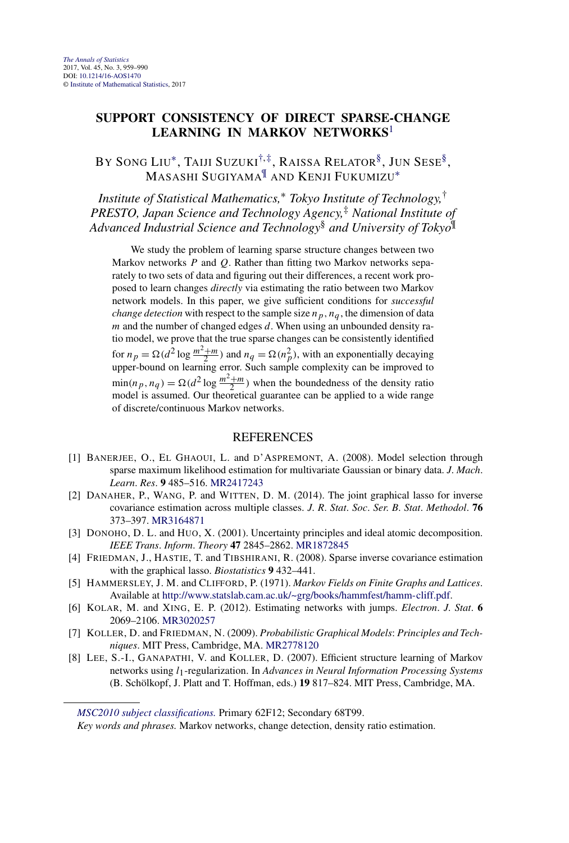# <span id="page-4-0"></span>**SUPPORT CONSISTENCY OF DIRECT SPARSE-CHANGE LEARNING IN MARKOV NETWORKS**<sup>1</sup>

BY SONG LIU\*, TAIJI SUZUKI<sup>[†,](#page-1-0)‡</sup>, RAISSA RELATOR<sup>§</sup>, JUN SESE<sup>§</sup>, MASASHI SUGIYAMA¶ AND KENJI FUKUMIZU[∗](#page-1-0)

*Institute of Statistical Mathematics,*<sup>∗</sup> *Tokyo Institute of Technology,*† *PRESTO, Japan Science and Technology Agency,*‡ *National Institute of Advanced Industrial Science and Technology*§ *and University of Tokyo*¶

We study the problem of learning sparse structure changes between two Markov networks *P* and *Q*. Rather than fitting two Markov networks separately to two sets of data and figuring out their differences, a recent work proposed to learn changes *directly* via estimating the ratio between two Markov network models. In this paper, we give sufficient conditions for *successful change detection* with respect to the sample size  $n_p$ ,  $n_q$ , the dimension of data *m* and the number of changed edges *d*. When using an unbounded density ratio model, we prove that the true sparse changes can be consistently identified for  $n_p = \Omega(d^2 \log \frac{m^2 + m}{2})$  and  $n_q = \Omega(n_p^2)$ , with an exponentially decaying upper-bound on learning error. Such sample complexity can be improved to  $\min(n_p, n_q) = \Omega(d^2 \log \frac{m^2 + m}{2})$  when the boundedness of the density ratio model is assumed. Our theoretical guarantee can be applied to a wide range of discrete/continuous Markov networks.

- [1] BANERJEE, O., EL GHAOUI, L. and D'ASPREMONT, A. (2008). Model selection through sparse maximum likelihood estimation for multivariate Gaussian or binary data. *J*. *Mach*. *Learn*. *Res*. **9** 485–516. [MR2417243](http://www.ams.org/mathscinet-getitem?mr=2417243)
- [2] DANAHER, P., WANG, P. and WITTEN, D. M. (2014). The joint graphical lasso for inverse covariance estimation across multiple classes. *J*. *R*. *Stat*. *Soc*. *Ser*. *B*. *Stat*. *Methodol*. **76** 373–397. [MR3164871](http://www.ams.org/mathscinet-getitem?mr=3164871)
- [3] DONOHO, D. L. and HUO, X. (2001). Uncertainty principles and ideal atomic decomposition. *IEEE Trans*. *Inform*. *Theory* **47** 2845–2862. [MR1872845](http://www.ams.org/mathscinet-getitem?mr=1872845)
- [4] FRIEDMAN, J., HASTIE, T. and TIBSHIRANI, R. (2008). Sparse inverse covariance estimation with the graphical lasso. *Biostatistics* **9** 432–441.
- [5] HAMMERSLEY, J. M. and CLIFFORD, P. (1971). *Markov Fields on Finite Graphs and Lattices*. Available at [http://www.statslab.cam.ac.uk/~grg/books/hammfest/hamm-cliff.pdf.](http://www.statslab.cam.ac.uk/~grg/books/hammfest/hamm-cliff.pdf)
- [6] KOLAR, M. and XING, E. P. (2012). Estimating networks with jumps. *Electron*. *J*. *Stat*. **6** 2069–2106. [MR3020257](http://www.ams.org/mathscinet-getitem?mr=3020257)
- [7] KOLLER, D. and FRIEDMAN, N. (2009). *Probabilistic Graphical Models*: *Principles and Techniques*. MIT Press, Cambridge, MA. [MR2778120](http://www.ams.org/mathscinet-getitem?mr=2778120)
- [8] LEE, S.-I., GANAPATHI, V. and KOLLER, D. (2007). Efficient structure learning of Markov networks using *l*1-regularization. In *Advances in Neural Information Processing Systems* (B. Schölkopf, J. Platt and T. Hoffman, eds.) **19** 817–824. MIT Press, Cambridge, MA.

*[MSC2010 subject classifications.](http://www.ams.org/mathscinet/msc/msc2010.html)* Primary 62F12; Secondary 68T99.

*Key words and phrases.* Markov networks, change detection, density ratio estimation.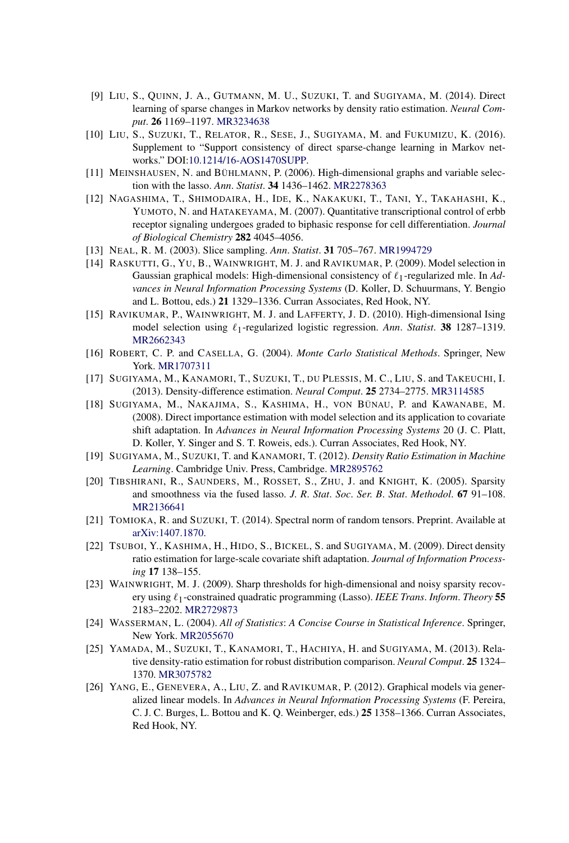- [9] LIU, S., QUINN, J. A., GUTMANN, M. U., SUZUKI, T. and SUGIYAMA, M. (2014). Direct learning of sparse changes in Markov networks by density ratio estimation. *Neural Comput*. **26** 1169–1197. [MR3234638](http://www.ams.org/mathscinet-getitem?mr=3234638)
- [10] LIU, S., SUZUKI, T., RELATOR, R., SESE, J., SUGIYAMA, M. and FUKUMIZU, K. (2016). Supplement to "Support consistency of direct sparse-change learning in Markov networks." DOI[:10.1214/16-AOS1470SUPP.](http://dx.doi.org/10.1214/16-AOS1470SUPP)
- [11] MEINSHAUSEN, N. and BÜHLMANN, P. (2006). High-dimensional graphs and variable selection with the lasso. *Ann*. *Statist*. **34** 1436–1462. [MR2278363](http://www.ams.org/mathscinet-getitem?mr=2278363)
- [12] NAGASHIMA, T., SHIMODAIRA, H., IDE, K., NAKAKUKI, T., TANI, Y., TAKAHASHI, K., YUMOTO, N. and HATAKEYAMA, M. (2007). Quantitative transcriptional control of erbb receptor signaling undergoes graded to biphasic response for cell differentiation. *Journal of Biological Chemistry* **282** 4045–4056.
- [13] NEAL, R. M. (2003). Slice sampling. *Ann*. *Statist*. **31** 705–767. [MR1994729](http://www.ams.org/mathscinet-getitem?mr=1994729)
- [14] RASKUTTI, G., YU, B., WAINWRIGHT, M. J. and RAVIKUMAR, P. (2009). Model selection in Gaussian graphical models: High-dimensional consistency of  $\ell_1$ -regularized mle. In Ad*vances in Neural Information Processing Systems* (D. Koller, D. Schuurmans, Y. Bengio and L. Bottou, eds.) **21** 1329–1336. Curran Associates, Red Hook, NY.
- [15] RAVIKUMAR, P., WAINWRIGHT, M. J. and LAFFERTY, J. D. (2010). High-dimensional Ising model selection using  $\ell_1$ -regularized logistic regression. Ann. Statist. **38** 1287–1319. [MR2662343](http://www.ams.org/mathscinet-getitem?mr=2662343)
- [16] ROBERT, C. P. and CASELLA, G. (2004). *Monte Carlo Statistical Methods*. Springer, New York. [MR1707311](http://www.ams.org/mathscinet-getitem?mr=1707311)
- [17] SUGIYAMA, M., KANAMORI, T., SUZUKI, T., DU PLESSIS, M. C., LIU, S. and TAKEUCHI, I. (2013). Density-difference estimation. *Neural Comput*. **25** 2734–2775. [MR3114585](http://www.ams.org/mathscinet-getitem?mr=3114585)
- [18] SUGIYAMA, M., NAKAJIMA, S., KASHIMA, H., VON BÜNAU, P. and KAWANABE, M. (2008). Direct importance estimation with model selection and its application to covariate shift adaptation. In *Advances in Neural Information Processing Systems* 20 (J. C. Platt, D. Koller, Y. Singer and S. T. Roweis, eds.). Curran Associates, Red Hook, NY.
- [19] SUGIYAMA, M., SUZUKI, T. and KANAMORI, T. (2012). *Density Ratio Estimation in Machine Learning*. Cambridge Univ. Press, Cambridge. [MR2895762](http://www.ams.org/mathscinet-getitem?mr=2895762)
- [20] TIBSHIRANI, R., SAUNDERS, M., ROSSET, S., ZHU, J. and KNIGHT, K. (2005). Sparsity and smoothness via the fused lasso. *J*. *R*. *Stat*. *Soc*. *Ser*. *B*. *Stat*. *Methodol*. **67** 91–108. [MR2136641](http://www.ams.org/mathscinet-getitem?mr=2136641)
- [21] TOMIOKA, R. and SUZUKI, T. (2014). Spectral norm of random tensors. Preprint. Available at [arXiv:1407.1870.](http://arxiv.org/abs/arXiv:1407.1870)
- [22] TSUBOI, Y., KASHIMA, H., HIDO, S., BICKEL, S. and SUGIYAMA, M. (2009). Direct density ratio estimation for large-scale covariate shift adaptation. *Journal of Information Processing* **17** 138–155.
- [23] WAINWRIGHT, M. J. (2009). Sharp thresholds for high-dimensional and noisy sparsity recovery using  $\ell_1$ -constrained quadratic programming (Lasso). *IEEE Trans. Inform. Theory* 55 2183–2202. [MR2729873](http://www.ams.org/mathscinet-getitem?mr=2729873)
- [24] WASSERMAN, L. (2004). *All of Statistics*: *A Concise Course in Statistical Inference*. Springer, New York. [MR2055670](http://www.ams.org/mathscinet-getitem?mr=2055670)
- [25] YAMADA, M., SUZUKI, T., KANAMORI, T., HACHIYA, H. and SUGIYAMA, M. (2013). Relative density-ratio estimation for robust distribution comparison. *Neural Comput*. **25** 1324– 1370. [MR3075782](http://www.ams.org/mathscinet-getitem?mr=3075782)
- [26] YANG, E., GENEVERA, A., LIU, Z. and RAVIKUMAR, P. (2012). Graphical models via generalized linear models. In *Advances in Neural Information Processing Systems* (F. Pereira, C. J. C. Burges, L. Bottou and K. Q. Weinberger, eds.) **25** 1358–1366. Curran Associates, Red Hook, NY.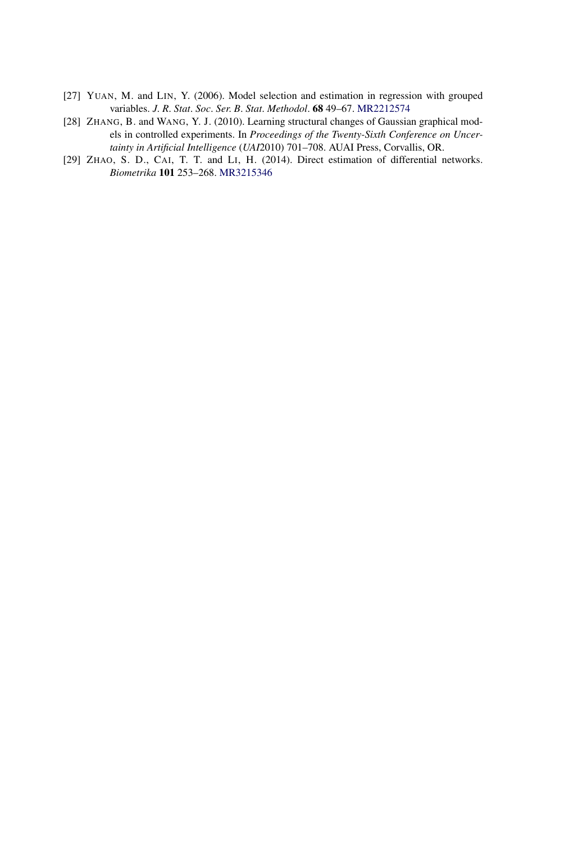- [27] YUAN, M. and LIN, Y. (2006). Model selection and estimation in regression with grouped variables. *J*. *R*. *Stat*. *Soc*. *Ser*. *B*. *Stat*. *Methodol*. **68** 49–67. [MR2212574](http://www.ams.org/mathscinet-getitem?mr=2212574)
- [28] ZHANG, B. and WANG, Y. J. (2010). Learning structural changes of Gaussian graphical models in controlled experiments. In *Proceedings of the Twenty-Sixth Conference on Uncertainty in Artificial Intelligence* (*UAI*2010) 701–708. AUAI Press, Corvallis, OR.
- [29] ZHAO, S. D., CAI, T. T. and LI, H. (2014). Direct estimation of differential networks. *Biometrika* **101** 253–268. [MR3215346](http://www.ams.org/mathscinet-getitem?mr=3215346)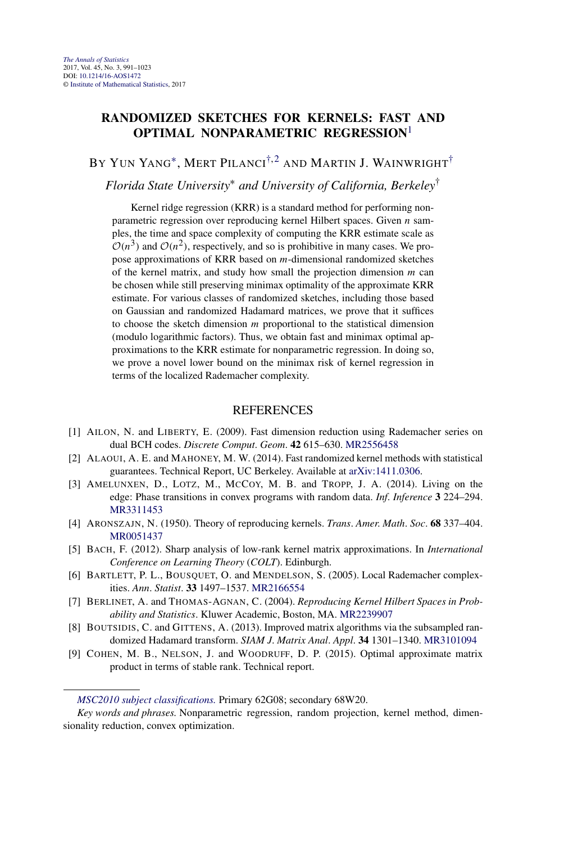# **RANDOMIZED SKETCHES FOR KERNELS: FAST AND OPTIMAL NONPARAMETRIC REGRESSION**<sup>1</sup>

# BY YUN YANG<sup>\*</sup>, MERT PILANCI<sup>[†,](#page-1-0)2</sup> AND MARTIN J. WAINWRIGHT<sup>[†](#page-1-0)</sup>

# *Florida State University*<sup>∗</sup> *and University of California, Berkeley*†

Kernel ridge regression (KRR) is a standard method for performing nonparametric regression over reproducing kernel Hilbert spaces. Given *n* samples, the time and space complexity of computing the KRR estimate scale as  $O(n^3)$  and  $O(n^2)$ , respectively, and so is prohibitive in many cases. We propose approximations of KRR based on *m*-dimensional randomized sketches of the kernel matrix, and study how small the projection dimension *m* can be chosen while still preserving minimax optimality of the approximate KRR estimate. For various classes of randomized sketches, including those based on Gaussian and randomized Hadamard matrices, we prove that it suffices to choose the sketch dimension *m* proportional to the statistical dimension (modulo logarithmic factors). Thus, we obtain fast and minimax optimal approximations to the KRR estimate for nonparametric regression. In doing so, we prove a novel lower bound on the minimax risk of kernel regression in terms of the localized Rademacher complexity.

- [1] AILON, N. and LIBERTY, E. (2009). Fast dimension reduction using Rademacher series on dual BCH codes. *Discrete Comput*. *Geom*. **42** 615–630. [MR2556458](http://www.ams.org/mathscinet-getitem?mr=2556458)
- [2] ALAOUI, A. E. and MAHONEY, M. W. (2014). Fast randomized kernel methods with statistical guarantees. Technical Report, UC Berkeley. Available at [arXiv:1411.0306.](http://arxiv.org/abs/arXiv:1411.0306)
- [3] AMELUNXEN, D., LOTZ, M., MCCOY, M. B. and TROPP, J. A. (2014). Living on the edge: Phase transitions in convex programs with random data. *Inf*. *Inference* **3** 224–294. [MR3311453](http://www.ams.org/mathscinet-getitem?mr=3311453)
- [4] ARONSZAJN, N. (1950). Theory of reproducing kernels. *Trans*. *Amer*. *Math*. *Soc*. **68** 337–404. [MR0051437](http://www.ams.org/mathscinet-getitem?mr=0051437)
- [5] BACH, F. (2012). Sharp analysis of low-rank kernel matrix approximations. In *International Conference on Learning Theory* (*COLT*). Edinburgh.
- [6] BARTLETT, P. L., BOUSQUET, O. and MENDELSON, S. (2005). Local Rademacher complexities. *Ann*. *Statist*. **33** 1497–1537. [MR2166554](http://www.ams.org/mathscinet-getitem?mr=2166554)
- [7] BERLINET, A. and THOMAS-AGNAN, C. (2004). *Reproducing Kernel Hilbert Spaces in Probability and Statistics*. Kluwer Academic, Boston, MA. [MR2239907](http://www.ams.org/mathscinet-getitem?mr=2239907)
- [8] BOUTSIDIS, C. and GITTENS, A. (2013). Improved matrix algorithms via the subsampled randomized Hadamard transform. *SIAM J*. *Matrix Anal*. *Appl*. **34** 1301–1340. [MR3101094](http://www.ams.org/mathscinet-getitem?mr=3101094)
- [9] COHEN, M. B., NELSON, J. and WOODRUFF, D. P. (2015). Optimal approximate matrix product in terms of stable rank. Technical report.

*[MSC2010 subject classifications.](http://www.ams.org/mathscinet/msc/msc2010.html)* Primary 62G08; secondary 68W20.

*Key words and phrases.* Nonparametric regression, random projection, kernel method, dimensionality reduction, convex optimization.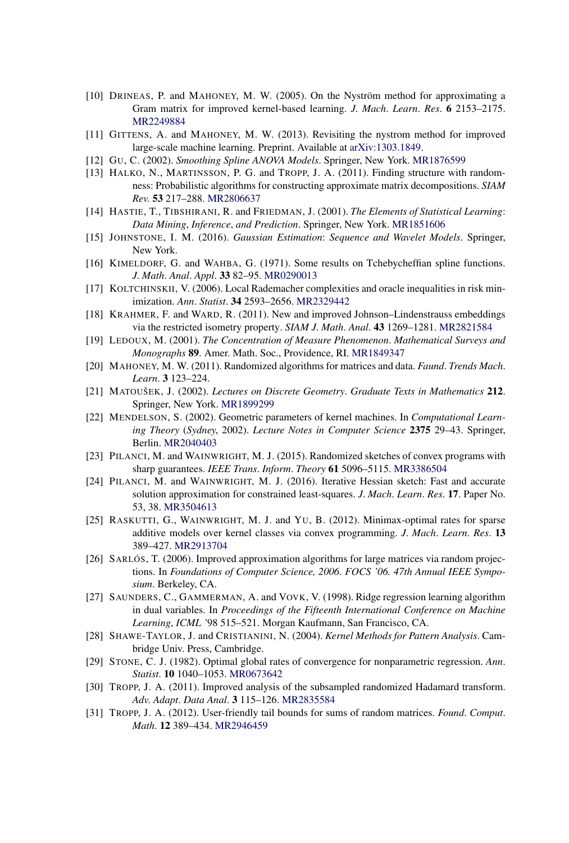- [10] DRINEAS, P. and MAHONEY, M. W. (2005). On the Nyström method for approximating a Gram matrix for improved kernel-based learning. *J*. *Mach*. *Learn*. *Res*. **6** 2153–2175. [MR2249884](http://www.ams.org/mathscinet-getitem?mr=2249884)
- [11] GITTENS, A. and MAHONEY, M. W. (2013). Revisiting the nystrom method for improved large-scale machine learning. Preprint. Available at [arXiv:1303.1849.](http://arxiv.org/abs/arXiv:1303.1849)
- [12] GU, C. (2002). *Smoothing Spline ANOVA Models*. Springer, New York. [MR1876599](http://www.ams.org/mathscinet-getitem?mr=1876599)
- [13] HALKO, N., MARTINSSON, P. G. and TROPP, J. A. (2011). Finding structure with randomness: Probabilistic algorithms for constructing approximate matrix decompositions. *SIAM Rev*. **53** 217–288. [MR2806637](http://www.ams.org/mathscinet-getitem?mr=2806637)
- [14] HASTIE, T., TIBSHIRANI, R. and FRIEDMAN, J. (2001). *The Elements of Statistical Learning*: *Data Mining*, *Inference*, *and Prediction*. Springer, New York. [MR1851606](http://www.ams.org/mathscinet-getitem?mr=1851606)
- [15] JOHNSTONE, I. M. (2016). *Gaussian Estimation*: *Sequence and Wavelet Models*. Springer, New York.
- [16] KIMELDORF, G. and WAHBA, G. (1971). Some results on Tchebycheffian spline functions. *J*. *Math*. *Anal*. *Appl*. **33** 82–95. [MR0290013](http://www.ams.org/mathscinet-getitem?mr=0290013)
- [17] KOLTCHINSKII, V. (2006). Local Rademacher complexities and oracle inequalities in risk minimization. *Ann*. *Statist*. **34** 2593–2656. [MR2329442](http://www.ams.org/mathscinet-getitem?mr=2329442)
- [18] KRAHMER, F. and WARD, R. (2011). New and improved Johnson–Lindenstrauss embeddings via the restricted isometry property. *SIAM J*. *Math*. *Anal*. **43** 1269–1281. [MR2821584](http://www.ams.org/mathscinet-getitem?mr=2821584)
- [19] LEDOUX, M. (2001). *The Concentration of Measure Phenomenon*. *Mathematical Surveys and Monographs* **89**. Amer. Math. Soc., Providence, RI. [MR1849347](http://www.ams.org/mathscinet-getitem?mr=1849347)
- [20] MAHONEY, M. W. (2011). Randomized algorithms for matrices and data. *Faund*. *Trends Mach*. *Learn*. **3** 123–224.
- [21] MATOUŠEK, J. (2002). *Lectures on Discrete Geometry*. *Graduate Texts in Mathematics* **212**. Springer, New York. [MR1899299](http://www.ams.org/mathscinet-getitem?mr=1899299)
- [22] MENDELSON, S. (2002). Geometric parameters of kernel machines. In *Computational Learning Theory* (*Sydney*, 2002). *Lecture Notes in Computer Science* **2375** 29–43. Springer, Berlin. [MR2040403](http://www.ams.org/mathscinet-getitem?mr=2040403)
- [23] PILANCI, M. and WAINWRIGHT, M. J. (2015). Randomized sketches of convex programs with sharp guarantees. *IEEE Trans*. *Inform*. *Theory* **61** 5096–5115. [MR3386504](http://www.ams.org/mathscinet-getitem?mr=3386504)
- [24] PILANCI, M. and WAINWRIGHT, M. J. (2016). Iterative Hessian sketch: Fast and accurate solution approximation for constrained least-squares. *J*. *Mach*. *Learn*. *Res*. **17**. Paper No. 53, 38. [MR3504613](http://www.ams.org/mathscinet-getitem?mr=3504613)
- [25] RASKUTTI, G., WAINWRIGHT, M. J. and YU, B. (2012). Minimax-optimal rates for sparse additive models over kernel classes via convex programming. *J*. *Mach*. *Learn*. *Res*. **13** 389–427. [MR2913704](http://www.ams.org/mathscinet-getitem?mr=2913704)
- [26] SARLÓS, T. (2006). Improved approximation algorithms for large matrices via random projections. In *Foundations of Computer Science, 2006. FOCS '06. 47th Annual IEEE Symposium*. Berkeley, CA.
- [27] SAUNDERS, C., GAMMERMAN, A. and VOVK, V. (1998). Ridge regression learning algorithm in dual variables. In *Proceedings of the Fifteenth International Conference on Machine Learning*, *ICML '*98 515–521. Morgan Kaufmann, San Francisco, CA.
- [28] SHAWE-TAYLOR, J. and CRISTIANINI, N. (2004). *Kernel Methods for Pattern Analysis*. Cambridge Univ. Press, Cambridge.
- [29] STONE, C. J. (1982). Optimal global rates of convergence for nonparametric regression. *Ann*. *Statist*. **10** 1040–1053. [MR0673642](http://www.ams.org/mathscinet-getitem?mr=0673642)
- [30] TROPP, J. A. (2011). Improved analysis of the subsampled randomized Hadamard transform. *Adv*. *Adapt*. *Data Anal*. **3** 115–126. [MR2835584](http://www.ams.org/mathscinet-getitem?mr=2835584)
- [31] TROPP, J. A. (2012). User-friendly tail bounds for sums of random matrices. *Found*. *Comput*. *Math*. **12** 389–434. [MR2946459](http://www.ams.org/mathscinet-getitem?mr=2946459)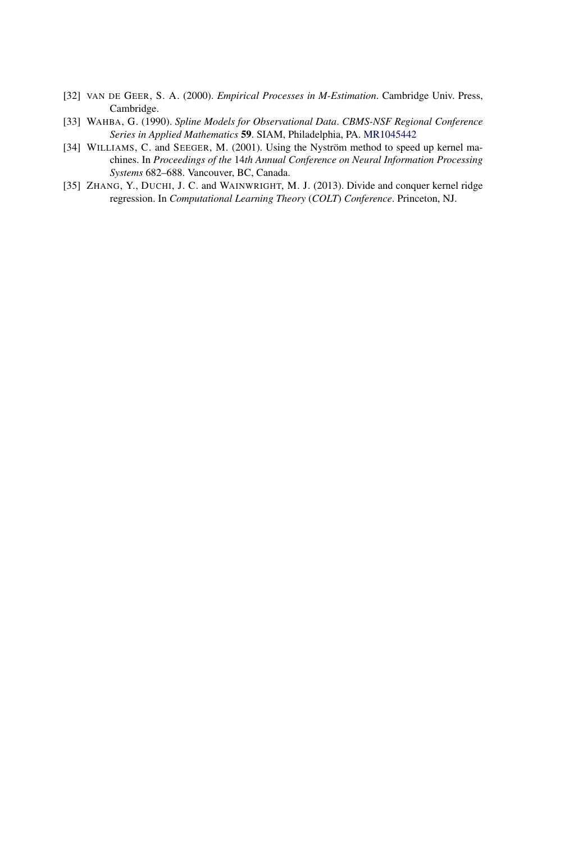- [32] VAN DE GEER, S. A. (2000). *Empirical Processes in M-Estimation*. Cambridge Univ. Press, Cambridge.
- [33] WAHBA, G. (1990). *Spline Models for Observational Data*. *CBMS-NSF Regional Conference Series in Applied Mathematics* **59**. SIAM, Philadelphia, PA. [MR1045442](http://www.ams.org/mathscinet-getitem?mr=1045442)
- [34] WILLIAMS, C. and SEEGER, M. (2001). Using the Nyström method to speed up kernel machines. In *Proceedings of the* 14*th Annual Conference on Neural Information Processing Systems* 682–688. Vancouver, BC, Canada.
- [35] ZHANG, Y., DUCHI, J. C. and WAINWRIGHT, M. J. (2013). Divide and conquer kernel ridge regression. In *Computational Learning Theory* (*COLT*) *Conference*. Princeton, NJ.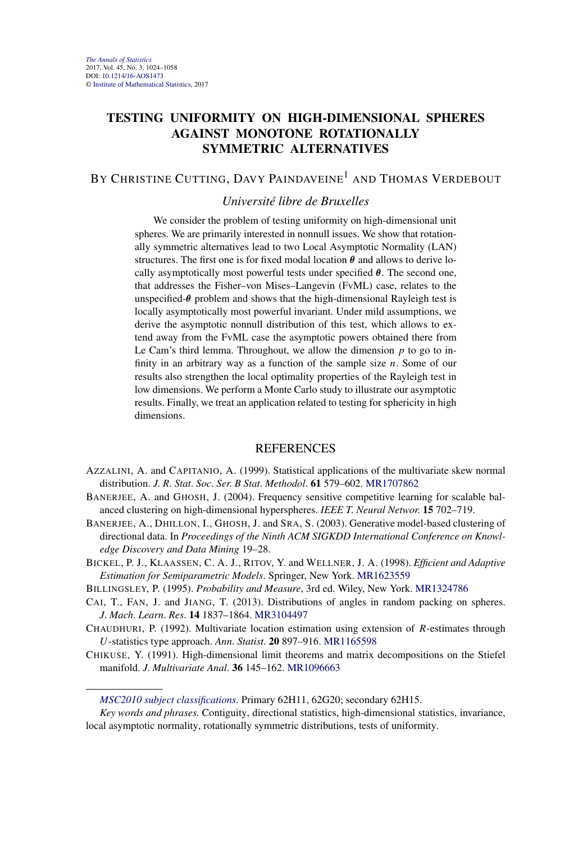# **TESTING UNIFORMITY ON HIGH-DIMENSIONAL SPHERES AGAINST MONOTONE ROTATIONALLY SYMMETRIC ALTERNATIVES**

# BY CHRISTINE CUTTING, DAVY PAINDAVEINE<sup>1</sup> AND THOMAS VERDEBOUT

#### *Université libre de Bruxelles*

We consider the problem of testing uniformity on high-dimensional unit spheres. We are primarily interested in nonnull issues. We show that rotationally symmetric alternatives lead to two Local Asymptotic Normality (LAN) structures. The first one is for fixed modal location  $\theta$  and allows to derive locally asymptotically most powerful tests under specified *θ*. The second one, that addresses the Fisher–von Mises–Langevin (FvML) case, relates to the unspecified-*θ* problem and shows that the high-dimensional Rayleigh test is locally asymptotically most powerful invariant. Under mild assumptions, we derive the asymptotic nonnull distribution of this test, which allows to extend away from the FvML case the asymptotic powers obtained there from Le Cam's third lemma. Throughout, we allow the dimension *p* to go to infinity in an arbitrary way as a function of the sample size *n*. Some of our results also strengthen the local optimality properties of the Rayleigh test in low dimensions. We perform a Monte Carlo study to illustrate our asymptotic results. Finally, we treat an application related to testing for sphericity in high dimensions.

- AZZALINI, A. and CAPITANIO, A. (1999). Statistical applications of the multivariate skew normal distribution. *J*. *R*. *Stat*. *Soc*. *Ser*. *B Stat*. *Methodol*. **61** 579–602. [MR1707862](http://www.ams.org/mathscinet-getitem?mr=1707862)
- BANERJEE, A. and GHOSH, J. (2004). Frequency sensitive competitive learning for scalable balanced clustering on high-dimensional hyperspheres. *IEEE T*. *Neural Networ*. **15** 702–719.
- BANERJEE, A., DHILLON, I., GHOSH, J. and SRA, S. (2003). Generative model-based clustering of directional data. In *Proceedings of the Ninth ACM SIGKDD International Conference on Knowledge Discovery and Data Mining* 19–28.
- BICKEL, P. J., KLAASSEN, C. A. J., RITOV, Y. and WELLNER, J. A. (1998). *Efficient and Adaptive Estimation for Semiparametric Models*. Springer, New York. [MR1623559](http://www.ams.org/mathscinet-getitem?mr=1623559)
- BILLINGSLEY, P. (1995). *Probability and Measure*, 3rd ed. Wiley, New York. [MR1324786](http://www.ams.org/mathscinet-getitem?mr=1324786)
- CAI, T., FAN, J. and JIANG, T. (2013). Distributions of angles in random packing on spheres. *J*. *Mach*. *Learn*. *Res*. **14** 1837–1864. [MR3104497](http://www.ams.org/mathscinet-getitem?mr=3104497)
- CHAUDHURI, P. (1992). Multivariate location estimation using extension of *R*-estimates through *U*-statistics type approach. *Ann*. *Statist*. **20** 897–916. [MR1165598](http://www.ams.org/mathscinet-getitem?mr=1165598)
- CHIKUSE, Y. (1991). High-dimensional limit theorems and matrix decompositions on the Stiefel manifold. *J*. *Multivariate Anal*. **36** 145–162. [MR1096663](http://www.ams.org/mathscinet-getitem?mr=1096663)

*[MSC2010 subject classifications.](http://www.ams.org/mathscinet/msc/msc2010.html)* Primary 62H11, 62G20; secondary 62H15.

*Key words and phrases.* Contiguity, directional statistics, high-dimensional statistics, invariance, local asymptotic normality, rotationally symmetric distributions, tests of uniformity.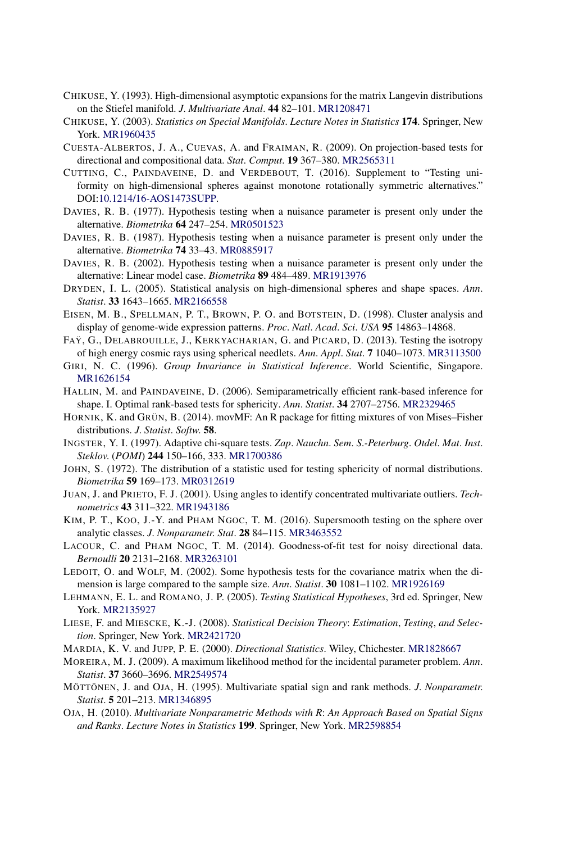- CHIKUSE, Y. (1993). High-dimensional asymptotic expansions for the matrix Langevin distributions on the Stiefel manifold. *J*. *Multivariate Anal*. **44** 82–101. [MR1208471](http://www.ams.org/mathscinet-getitem?mr=1208471)
- CHIKUSE, Y. (2003). *Statistics on Special Manifolds*. *Lecture Notes in Statistics* **174**. Springer, New York. [MR1960435](http://www.ams.org/mathscinet-getitem?mr=1960435)
- CUESTA-ALBERTOS, J. A., CUEVAS, A. and FRAIMAN, R. (2009). On projection-based tests for directional and compositional data. *Stat*. *Comput*. **19** 367–380. [MR2565311](http://www.ams.org/mathscinet-getitem?mr=2565311)
- CUTTING, C., PAINDAVEINE, D. and VERDEBOUT, T. (2016). Supplement to "Testing uniformity on high-dimensional spheres against monotone rotationally symmetric alternatives." DOI[:10.1214/16-AOS1473SUPP.](http://dx.doi.org/10.1214/16-AOS1473SUPP)
- DAVIES, R. B. (1977). Hypothesis testing when a nuisance parameter is present only under the alternative. *Biometrika* **64** 247–254. [MR0501523](http://www.ams.org/mathscinet-getitem?mr=0501523)
- DAVIES, R. B. (1987). Hypothesis testing when a nuisance parameter is present only under the alternative. *Biometrika* **74** 33–43. [MR0885917](http://www.ams.org/mathscinet-getitem?mr=0885917)
- DAVIES, R. B. (2002). Hypothesis testing when a nuisance parameter is present only under the alternative: Linear model case. *Biometrika* **89** 484–489. [MR1913976](http://www.ams.org/mathscinet-getitem?mr=1913976)
- DRYDEN, I. L. (2005). Statistical analysis on high-dimensional spheres and shape spaces. *Ann*. *Statist*. **33** 1643–1665. [MR2166558](http://www.ams.org/mathscinet-getitem?mr=2166558)
- EISEN, M. B., SPELLMAN, P. T., BROWN, P. O. and BOTSTEIN, D. (1998). Cluster analysis and display of genome-wide expression patterns. *Proc*. *Natl*. *Acad*. *Sci*. *USA* **95** 14863–14868.
- FAŸ, G., DELABROUILLE, J., KERKYACHARIAN, G. and PICARD, D. (2013). Testing the isotropy of high energy cosmic rays using spherical needlets. *Ann*. *Appl*. *Stat*. **7** 1040–1073. [MR3113500](http://www.ams.org/mathscinet-getitem?mr=3113500)
- GIRI, N. C. (1996). *Group Invariance in Statistical Inference*. World Scientific, Singapore. [MR1626154](http://www.ams.org/mathscinet-getitem?mr=1626154)
- HALLIN, M. and PAINDAVEINE, D. (2006). Semiparametrically efficient rank-based inference for shape. I. Optimal rank-based tests for sphericity. *Ann*. *Statist*. **34** 2707–2756. [MR2329465](http://www.ams.org/mathscinet-getitem?mr=2329465)
- HORNIK, K. and GRÜN, B. (2014). movMF: An R package for fitting mixtures of von Mises–Fisher distributions. *J*. *Statist*. *Softw*. **58**.
- INGSTER, Y. I. (1997). Adaptive chi-square tests. *Zap*. *Nauchn*. *Sem*. *S*.*-Peterburg*. *Otdel*. *Mat*. *Inst*. *Steklov*. (*POMI*) **244** 150–166, 333. [MR1700386](http://www.ams.org/mathscinet-getitem?mr=1700386)
- JOHN, S. (1972). The distribution of a statistic used for testing sphericity of normal distributions. *Biometrika* **59** 169–173. [MR0312619](http://www.ams.org/mathscinet-getitem?mr=0312619)
- JUAN, J. and PRIETO, F. J. (2001). Using angles to identify concentrated multivariate outliers. *Technometrics* **43** 311–322. [MR1943186](http://www.ams.org/mathscinet-getitem?mr=1943186)
- KIM, P. T., KOO, J.-Y. and PHAM NGOC, T. M. (2016). Supersmooth testing on the sphere over analytic classes. *J*. *Nonparametr*. *Stat*. **28** 84–115. [MR3463552](http://www.ams.org/mathscinet-getitem?mr=3463552)
- LACOUR, C. and PHAM NGOC, T. M. (2014). Goodness-of-fit test for noisy directional data. *Bernoulli* **20** 2131–2168. [MR3263101](http://www.ams.org/mathscinet-getitem?mr=3263101)
- LEDOIT, O. and WOLF, M. (2002). Some hypothesis tests for the covariance matrix when the dimension is large compared to the sample size. *Ann*. *Statist*. **30** 1081–1102. [MR1926169](http://www.ams.org/mathscinet-getitem?mr=1926169)
- LEHMANN, E. L. and ROMANO, J. P. (2005). *Testing Statistical Hypotheses*, 3rd ed. Springer, New York. [MR2135927](http://www.ams.org/mathscinet-getitem?mr=2135927)
- LIESE, F. and MIESCKE, K.-J. (2008). *Statistical Decision Theory*: *Estimation*, *Testing*, *and Selection*. Springer, New York. [MR2421720](http://www.ams.org/mathscinet-getitem?mr=2421720)
- MARDIA, K. V. and JUPP, P. E. (2000). *Directional Statistics*. Wiley, Chichester. [MR1828667](http://www.ams.org/mathscinet-getitem?mr=1828667)
- MOREIRA, M. J. (2009). A maximum likelihood method for the incidental parameter problem. *Ann*. *Statist*. **37** 3660–3696. [MR2549574](http://www.ams.org/mathscinet-getitem?mr=2549574)
- MÖTTÖNEN, J. and OJA, H. (1995). Multivariate spatial sign and rank methods. *J*. *Nonparametr*. *Statist*. **5** 201–213. [MR1346895](http://www.ams.org/mathscinet-getitem?mr=1346895)
- OJA, H. (2010). *Multivariate Nonparametric Methods with R*: *An Approach Based on Spatial Signs and Ranks*. *Lecture Notes in Statistics* **199**. Springer, New York. [MR2598854](http://www.ams.org/mathscinet-getitem?mr=2598854)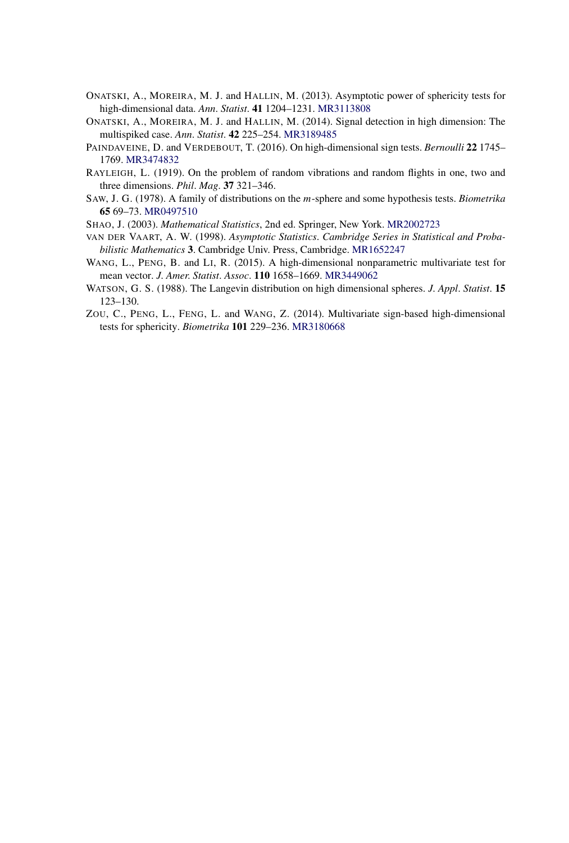- ONATSKI, A., MOREIRA, M. J. and HALLIN, M. (2013). Asymptotic power of sphericity tests for high-dimensional data. *Ann*. *Statist*. **41** 1204–1231. [MR3113808](http://www.ams.org/mathscinet-getitem?mr=3113808)
- ONATSKI, A., MOREIRA, M. J. and HALLIN, M. (2014). Signal detection in high dimension: The multispiked case. *Ann*. *Statist*. **42** 225–254. [MR3189485](http://www.ams.org/mathscinet-getitem?mr=3189485)
- PAINDAVEINE, D. and VERDEBOUT, T. (2016). On high-dimensional sign tests. *Bernoulli* **22** 1745– 1769. [MR3474832](http://www.ams.org/mathscinet-getitem?mr=3474832)
- RAYLEIGH, L. (1919). On the problem of random vibrations and random flights in one, two and three dimensions. *Phil*. *Mag*. **37** 321–346.
- SAW, J. G. (1978). A family of distributions on the *m*-sphere and some hypothesis tests. *Biometrika* **65** 69–73. [MR0497510](http://www.ams.org/mathscinet-getitem?mr=0497510)
- SHAO, J. (2003). *Mathematical Statistics*, 2nd ed. Springer, New York. [MR2002723](http://www.ams.org/mathscinet-getitem?mr=2002723)
- VAN DER VAART, A. W. (1998). *Asymptotic Statistics*. *Cambridge Series in Statistical and Probabilistic Mathematics* **3**. Cambridge Univ. Press, Cambridge. [MR1652247](http://www.ams.org/mathscinet-getitem?mr=1652247)
- WANG, L., PENG, B. and LI, R. (2015). A high-dimensional nonparametric multivariate test for mean vector. *J*. *Amer*. *Statist*. *Assoc*. **110** 1658–1669. [MR3449062](http://www.ams.org/mathscinet-getitem?mr=3449062)
- WATSON, G. S. (1988). The Langevin distribution on high dimensional spheres. *J*. *Appl*. *Statist*. **15** 123–130.
- ZOU, C., PENG, L., FENG, L. and WANG, Z. (2014). Multivariate sign-based high-dimensional tests for sphericity. *Biometrika* **101** 229–236. [MR3180668](http://www.ams.org/mathscinet-getitem?mr=3180668)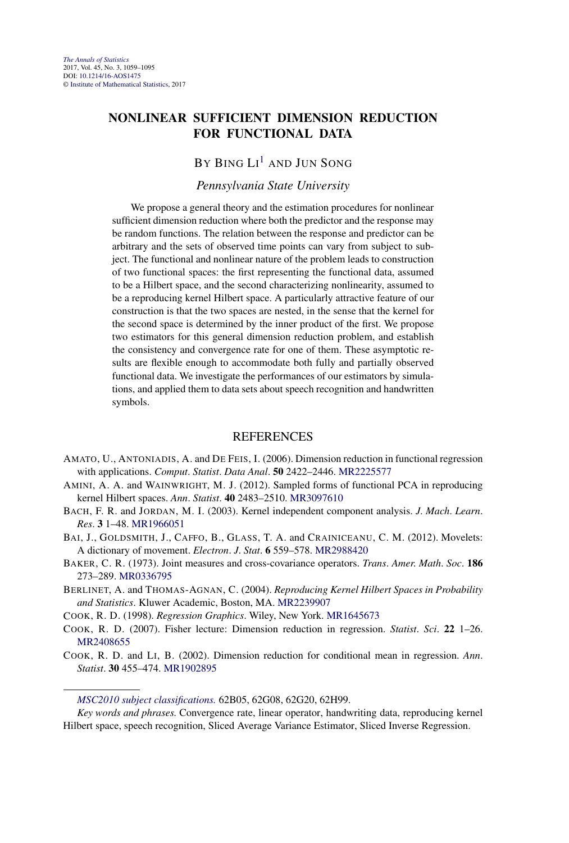# **NONLINEAR SUFFICIENT DIMENSION REDUCTION FOR FUNCTIONAL DATA**

# BY BING  $\mathrm{L1}^1$  and Jun Song

#### *Pennsylvania State University*

We propose a general theory and the estimation procedures for nonlinear sufficient dimension reduction where both the predictor and the response may be random functions. The relation between the response and predictor can be arbitrary and the sets of observed time points can vary from subject to subject. The functional and nonlinear nature of the problem leads to construction of two functional spaces: the first representing the functional data, assumed to be a Hilbert space, and the second characterizing nonlinearity, assumed to be a reproducing kernel Hilbert space. A particularly attractive feature of our construction is that the two spaces are nested, in the sense that the kernel for the second space is determined by the inner product of the first. We propose two estimators for this general dimension reduction problem, and establish the consistency and convergence rate for one of them. These asymptotic results are flexible enough to accommodate both fully and partially observed functional data. We investigate the performances of our estimators by simulations, and applied them to data sets about speech recognition and handwritten symbols.

- AMATO, U., ANTONIADIS, A. and DE FEIS, I. (2006). Dimension reduction in functional regression with applications. *Comput*. *Statist*. *Data Anal*. **50** 2422–2446. [MR2225577](http://www.ams.org/mathscinet-getitem?mr=2225577)
- AMINI, A. A. and WAINWRIGHT, M. J. (2012). Sampled forms of functional PCA in reproducing kernel Hilbert spaces. *Ann*. *Statist*. **40** 2483–2510. [MR3097610](http://www.ams.org/mathscinet-getitem?mr=3097610)
- BACH, F. R. and JORDAN, M. I. (2003). Kernel independent component analysis. *J*. *Mach*. *Learn*. *Res*. **3** 1–48. [MR1966051](http://www.ams.org/mathscinet-getitem?mr=1966051)
- BAI, J., GOLDSMITH, J., CAFFO, B., GLASS, T. A. and CRAINICEANU, C. M. (2012). Movelets: A dictionary of movement. *Electron*. *J*. *Stat*. **6** 559–578. [MR2988420](http://www.ams.org/mathscinet-getitem?mr=2988420)
- BAKER, C. R. (1973). Joint measures and cross-covariance operators. *Trans*. *Amer*. *Math*. *Soc*. **186** 273–289. [MR0336795](http://www.ams.org/mathscinet-getitem?mr=0336795)
- BERLINET, A. and THOMAS-AGNAN, C. (2004). *Reproducing Kernel Hilbert Spaces in Probability and Statistics*. Kluwer Academic, Boston, MA. [MR2239907](http://www.ams.org/mathscinet-getitem?mr=2239907)
- COOK, R. D. (1998). *Regression Graphics*. Wiley, New York. [MR1645673](http://www.ams.org/mathscinet-getitem?mr=1645673)
- COOK, R. D. (2007). Fisher lecture: Dimension reduction in regression. *Statist*. *Sci*. **22** 1–26. [MR2408655](http://www.ams.org/mathscinet-getitem?mr=2408655)
- COOK, R. D. and LI, B. (2002). Dimension reduction for conditional mean in regression. *Ann*. *Statist*. **30** 455–474. [MR1902895](http://www.ams.org/mathscinet-getitem?mr=1902895)

*[MSC2010 subject classifications.](http://www.ams.org/mathscinet/msc/msc2010.html)* 62B05, 62G08, 62G20, 62H99.

*Key words and phrases.* Convergence rate, linear operator, handwriting data, reproducing kernel Hilbert space, speech recognition, Sliced Average Variance Estimator, Sliced Inverse Regression.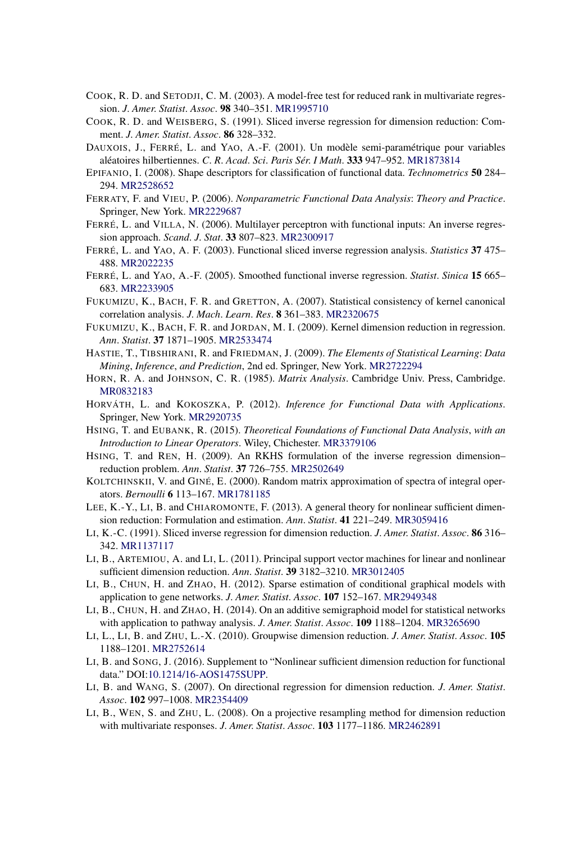- COOK, R. D. and SETODJI, C. M. (2003). A model-free test for reduced rank in multivariate regression. *J*. *Amer*. *Statist*. *Assoc*. **98** 340–351. [MR1995710](http://www.ams.org/mathscinet-getitem?mr=1995710)
- COOK, R. D. and WEISBERG, S. (1991). Sliced inverse regression for dimension reduction: Comment. *J*. *Amer*. *Statist*. *Assoc*. **86** 328–332.
- DAUXOIS, J., FERRÉ, L. and YAO, A.-F. (2001). Un modèle semi-paramétrique pour variables aléatoires hilbertiennes. *C*. *R*. *Acad*. *Sci*. *Paris Sér*. *I Math*. **333** 947–952. [MR1873814](http://www.ams.org/mathscinet-getitem?mr=1873814)
- EPIFANIO, I. (2008). Shape descriptors for classification of functional data. *Technometrics* **50** 284– 294. [MR2528652](http://www.ams.org/mathscinet-getitem?mr=2528652)
- FERRATY, F. and VIEU, P. (2006). *Nonparametric Functional Data Analysis*: *Theory and Practice*. Springer, New York. [MR2229687](http://www.ams.org/mathscinet-getitem?mr=2229687)
- FERRÉ, L. and VILLA, N. (2006). Multilayer perceptron with functional inputs: An inverse regression approach. *Scand*. *J*. *Stat*. **33** 807–823. [MR2300917](http://www.ams.org/mathscinet-getitem?mr=2300917)
- FERRÉ, L. and YAO, A. F. (2003). Functional sliced inverse regression analysis. *Statistics* **37** 475– 488. [MR2022235](http://www.ams.org/mathscinet-getitem?mr=2022235)
- FERRÉ, L. and YAO, A.-F. (2005). Smoothed functional inverse regression. *Statist*. *Sinica* **15** 665– 683. [MR2233905](http://www.ams.org/mathscinet-getitem?mr=2233905)
- FUKUMIZU, K., BACH, F. R. and GRETTON, A. (2007). Statistical consistency of kernel canonical correlation analysis. *J*. *Mach*. *Learn*. *Res*. **8** 361–383. [MR2320675](http://www.ams.org/mathscinet-getitem?mr=2320675)
- FUKUMIZU, K., BACH, F. R. and JORDAN, M. I. (2009). Kernel dimension reduction in regression. *Ann*. *Statist*. **37** 1871–1905. [MR2533474](http://www.ams.org/mathscinet-getitem?mr=2533474)
- HASTIE, T., TIBSHIRANI, R. and FRIEDMAN, J. (2009). *The Elements of Statistical Learning*: *Data Mining*, *Inference*, *and Prediction*, 2nd ed. Springer, New York. [MR2722294](http://www.ams.org/mathscinet-getitem?mr=2722294)
- HORN, R. A. and JOHNSON, C. R. (1985). *Matrix Analysis*. Cambridge Univ. Press, Cambridge. [MR0832183](http://www.ams.org/mathscinet-getitem?mr=0832183)
- HORVÁTH, L. and KOKOSZKA, P. (2012). *Inference for Functional Data with Applications*. Springer, New York. [MR2920735](http://www.ams.org/mathscinet-getitem?mr=2920735)
- HSING, T. and EUBANK, R. (2015). *Theoretical Foundations of Functional Data Analysis*, *with an Introduction to Linear Operators*. Wiley, Chichester. [MR3379106](http://www.ams.org/mathscinet-getitem?mr=3379106)
- HSING, T. and REN, H. (2009). An RKHS formulation of the inverse regression dimension– reduction problem. *Ann*. *Statist*. **37** 726–755. [MR2502649](http://www.ams.org/mathscinet-getitem?mr=2502649)
- KOLTCHINSKII, V. and GINÉ, E. (2000). Random matrix approximation of spectra of integral operators. *Bernoulli* **6** 113–167. [MR1781185](http://www.ams.org/mathscinet-getitem?mr=1781185)
- LEE, K.-Y., LI, B. and CHIAROMONTE, F. (2013). A general theory for nonlinear sufficient dimension reduction: Formulation and estimation. *Ann*. *Statist*. **41** 221–249. [MR3059416](http://www.ams.org/mathscinet-getitem?mr=3059416)
- LI, K.-C. (1991). Sliced inverse regression for dimension reduction. *J*. *Amer*. *Statist*. *Assoc*. **86** 316– 342. [MR1137117](http://www.ams.org/mathscinet-getitem?mr=1137117)
- LI, B., ARTEMIOU, A. and LI, L. (2011). Principal support vector machines for linear and nonlinear sufficient dimension reduction. *Ann*. *Statist*. **39** 3182–3210. [MR3012405](http://www.ams.org/mathscinet-getitem?mr=3012405)
- LI, B., CHUN, H. and ZHAO, H. (2012). Sparse estimation of conditional graphical models with application to gene networks. *J*. *Amer*. *Statist*. *Assoc*. **107** 152–167. [MR2949348](http://www.ams.org/mathscinet-getitem?mr=2949348)
- LI, B., CHUN, H. and ZHAO, H. (2014). On an additive semigraphoid model for statistical networks with application to pathway analysis. *J*. *Amer*. *Statist*. *Assoc*. **109** 1188–1204. [MR3265690](http://www.ams.org/mathscinet-getitem?mr=3265690)
- LI, L., LI, B. and ZHU, L.-X. (2010). Groupwise dimension reduction. *J*. *Amer*. *Statist*. *Assoc*. **105** 1188–1201. [MR2752614](http://www.ams.org/mathscinet-getitem?mr=2752614)
- LI, B. and SONG, J. (2016). Supplement to "Nonlinear sufficient dimension reduction for functional data." DOI[:10.1214/16-AOS1475SUPP.](http://dx.doi.org/10.1214/16-AOS1475SUPP)
- LI, B. and WANG, S. (2007). On directional regression for dimension reduction. *J*. *Amer*. *Statist*. *Assoc*. **102** 997–1008. [MR2354409](http://www.ams.org/mathscinet-getitem?mr=2354409)
- LI, B., WEN, S. and ZHU, L. (2008). On a projective resampling method for dimension reduction with multivariate responses. *J*. *Amer*. *Statist*. *Assoc*. **103** 1177–1186. [MR2462891](http://www.ams.org/mathscinet-getitem?mr=2462891)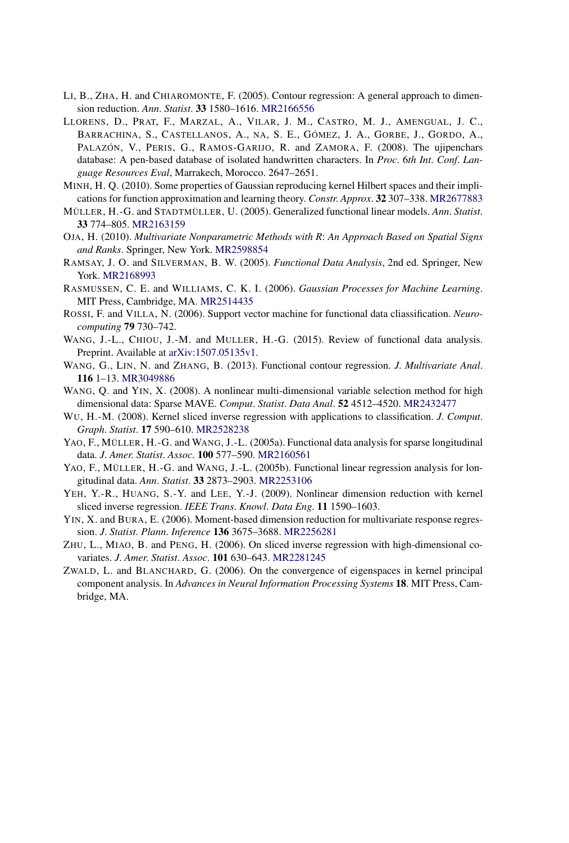- LI, B., ZHA, H. and CHIAROMONTE, F. (2005). Contour regression: A general approach to dimension reduction. *Ann*. *Statist*. **33** 1580–1616. [MR2166556](http://www.ams.org/mathscinet-getitem?mr=2166556)
- LLORENS, D., PRAT, F., MARZAL, A., VILAR, J. M., CASTRO, M. J., AMENGUAL, J. C., BARRACHINA, S., CASTELLANOS, A., NA, S. E., GÓMEZ, J. A., GORBE, J., GORDO, A., PALAZÓN, V., PERIS, G., RAMOS-GARIJO, R. and ZAMORA, F. (2008). The ujipenchars database: A pen-based database of isolated handwritten characters. In *Proc*. 6*th Int*. *Conf*. *Language Resources Eval*, Marrakech, Morocco. 2647–2651.
- MINH, H. Q. (2010). Some properties of Gaussian reproducing kernel Hilbert spaces and their implications for function approximation and learning theory. *Constr*. *Approx*. **32** 307–338. [MR2677883](http://www.ams.org/mathscinet-getitem?mr=2677883)
- MÜLLER, H.-G. and STADTMÜLLER, U. (2005). Generalized functional linear models. *Ann*. *Statist*. **33** 774–805. [MR2163159](http://www.ams.org/mathscinet-getitem?mr=2163159)
- OJA, H. (2010). *Multivariate Nonparametric Methods with R*: *An Approach Based on Spatial Signs and Ranks*. Springer, New York. [MR2598854](http://www.ams.org/mathscinet-getitem?mr=2598854)
- RAMSAY, J. O. and SILVERMAN, B. W. (2005). *Functional Data Analysis*, 2nd ed. Springer, New York. [MR2168993](http://www.ams.org/mathscinet-getitem?mr=2168993)
- RASMUSSEN, C. E. and WILLIAMS, C. K. I. (2006). *Gaussian Processes for Machine Learning*. MIT Press, Cambridge, MA. [MR2514435](http://www.ams.org/mathscinet-getitem?mr=2514435)
- ROSSI, F. and VILLA, N. (2006). Support vector machine for functional data cliassification. *Neurocomputing* **79** 730–742.
- WANG, J.-L., CHIOU, J.-M. and MULLER, H.-G. (2015). Review of functional data analysis. Preprint. Available at [arXiv:1507.05135v1](http://arxiv.org/abs/arXiv:1507.05135v1).
- WANG, G., LIN, N. and ZHANG, B. (2013). Functional contour regression. *J*. *Multivariate Anal*. **116** 1–13. [MR3049886](http://www.ams.org/mathscinet-getitem?mr=3049886)
- WANG, Q. and YIN, X. (2008). A nonlinear multi-dimensional variable selection method for high dimensional data: Sparse MAVE. *Comput*. *Statist*. *Data Anal*. **52** 4512–4520. [MR2432477](http://www.ams.org/mathscinet-getitem?mr=2432477)
- WU, H.-M. (2008). Kernel sliced inverse regression with applications to classification. *J*. *Comput*. *Graph*. *Statist*. **17** 590–610. [MR2528238](http://www.ams.org/mathscinet-getitem?mr=2528238)
- YAO, F., MÜLLER, H.-G. and WANG, J.-L. (2005a). Functional data analysis for sparse longitudinal data. *J*. *Amer*. *Statist*. *Assoc*. **100** 577–590. [MR2160561](http://www.ams.org/mathscinet-getitem?mr=2160561)
- YAO, F., MÜLLER, H.-G. and WANG, J.-L. (2005b). Functional linear regression analysis for longitudinal data. *Ann*. *Statist*. **33** 2873–2903. [MR2253106](http://www.ams.org/mathscinet-getitem?mr=2253106)
- YEH, Y.-R., HUANG, S.-Y. and LEE, Y.-J. (2009). Nonlinear dimension reduction with kernel sliced inverse regression. *IEEE Trans*. *Knowl*. *Data Eng*. **11** 1590–1603.
- YIN, X. and BURA, E. (2006). Moment-based dimension reduction for multivariate response regression. *J*. *Statist*. *Plann*. *Inference* **136** 3675–3688. [MR2256281](http://www.ams.org/mathscinet-getitem?mr=2256281)
- ZHU, L., MIAO, B. and PENG, H. (2006). On sliced inverse regression with high-dimensional covariates. *J*. *Amer*. *Statist*. *Assoc*. **101** 630–643. [MR2281245](http://www.ams.org/mathscinet-getitem?mr=2281245)
- ZWALD, L. and BLANCHARD, G. (2006). On the convergence of eigenspaces in kernel principal component analysis. In *Advances in Neural Information Processing Systems* **18**. MIT Press, Cambridge, MA.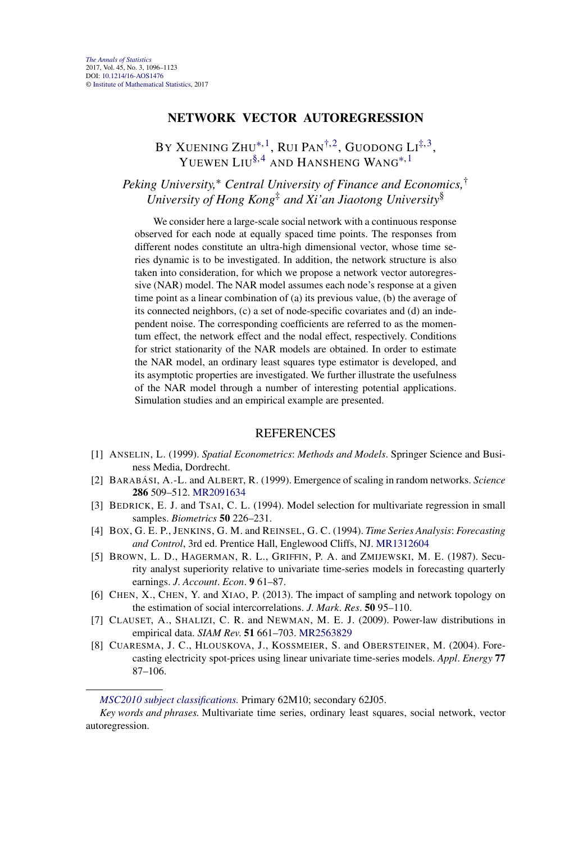#### **NETWORK VECTOR AUTOREGRESSION**

BY XUENING ZHU\* $^{\dagger,\,1}$ , Rui Pan $^{\dagger,\,2}$ , Guodong Li $^{\ddagger,\,3},$ YUEWEN LIU[§,](#page-4-0)4 AND HANSHENG WANG[∗](#page-1-0),1

# *Peking University,*<sup>∗</sup> *Central University of Finance and Economics,*† *University of Hong Kong*‡ *and Xi'an Jiaotong University*§

We consider here a large-scale social network with a continuous response observed for each node at equally spaced time points. The responses from different nodes constitute an ultra-high dimensional vector, whose time series dynamic is to be investigated. In addition, the network structure is also taken into consideration, for which we propose a network vector autoregressive (NAR) model. The NAR model assumes each node's response at a given time point as a linear combination of (a) its previous value, (b) the average of its connected neighbors, (c) a set of node-specific covariates and (d) an independent noise. The corresponding coefficients are referred to as the momentum effect, the network effect and the nodal effect, respectively. Conditions for strict stationarity of the NAR models are obtained. In order to estimate the NAR model, an ordinary least squares type estimator is developed, and its asymptotic properties are investigated. We further illustrate the usefulness of the NAR model through a number of interesting potential applications. Simulation studies and an empirical example are presented.

- [1] ANSELIN, L. (1999). *Spatial Econometrics*: *Methods and Models*. Springer Science and Business Media, Dordrecht.
- [2] BARABÁSI, A.-L. and ALBERT, R. (1999). Emergence of scaling in random networks. *Science* **286** 509–512. [MR2091634](http://www.ams.org/mathscinet-getitem?mr=2091634)
- [3] BEDRICK, E. J. and TSAI, C. L. (1994). Model selection for multivariate regression in small samples. *Biometrics* **50** 226–231.
- [4] BOX, G. E. P., JENKINS, G. M. and REINSEL, G. C. (1994). *Time Series Analysis*: *Forecasting and Control*, 3rd ed. Prentice Hall, Englewood Cliffs, NJ. [MR1312604](http://www.ams.org/mathscinet-getitem?mr=1312604)
- [5] BROWN, L. D., HAGERMAN, R. L., GRIFFIN, P. A. and ZMIJEWSKI, M. E. (1987). Security analyst superiority relative to univariate time-series models in forecasting quarterly earnings. *J*. *Account*. *Econ*. **9** 61–87.
- [6] CHEN, X., CHEN, Y. and XIAO, P. (2013). The impact of sampling and network topology on the estimation of social intercorrelations. *J*. *Mark*. *Res*. **50** 95–110.
- [7] CLAUSET, A., SHALIZI, C. R. and NEWMAN, M. E. J. (2009). Power-law distributions in empirical data. *SIAM Rev*. **51** 661–703. [MR2563829](http://www.ams.org/mathscinet-getitem?mr=2563829)
- [8] CUARESMA, J. C., HLOUSKOVA, J., KOSSMEIER, S. and OBERSTEINER, M. (2004). Forecasting electricity spot-prices using linear univariate time-series models. *Appl*. *Energy* **77** 87–106.

*[MSC2010 subject classifications.](http://www.ams.org/mathscinet/msc/msc2010.html)* Primary 62M10; secondary 62J05.

*Key words and phrases.* Multivariate time series, ordinary least squares, social network, vector autoregression.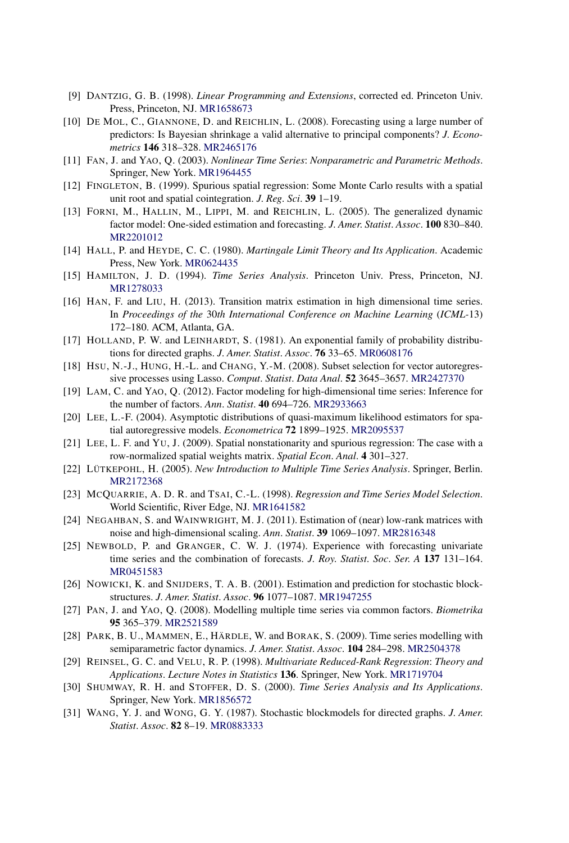- [9] DANTZIG, G. B. (1998). *Linear Programming and Extensions*, corrected ed. Princeton Univ. Press, Princeton, NJ. [MR1658673](http://www.ams.org/mathscinet-getitem?mr=1658673)
- [10] DE MOL, C., GIANNONE, D. and REICHLIN, L. (2008). Forecasting using a large number of predictors: Is Bayesian shrinkage a valid alternative to principal components? *J*. *Econometrics* **146** 318–328. [MR2465176](http://www.ams.org/mathscinet-getitem?mr=2465176)
- [11] FAN, J. and YAO, Q. (2003). *Nonlinear Time Series*: *Nonparametric and Parametric Methods*. Springer, New York. [MR1964455](http://www.ams.org/mathscinet-getitem?mr=1964455)
- [12] FINGLETON, B. (1999). Spurious spatial regression: Some Monte Carlo results with a spatial unit root and spatial cointegration. *J*. *Reg*. *Sci*. **39** 1–19.
- [13] FORNI, M., HALLIN, M., LIPPI, M. and REICHLIN, L. (2005). The generalized dynamic factor model: One-sided estimation and forecasting. *J*. *Amer*. *Statist*. *Assoc*. **100** 830–840. [MR2201012](http://www.ams.org/mathscinet-getitem?mr=2201012)
- [14] HALL, P. and HEYDE, C. C. (1980). *Martingale Limit Theory and Its Application*. Academic Press, New York. [MR0624435](http://www.ams.org/mathscinet-getitem?mr=0624435)
- [15] HAMILTON, J. D. (1994). *Time Series Analysis*. Princeton Univ. Press, Princeton, NJ. [MR1278033](http://www.ams.org/mathscinet-getitem?mr=1278033)
- [16] HAN, F. and LIU, H. (2013). Transition matrix estimation in high dimensional time series. In *Proceedings of the* 30*th International Conference on Machine Learning* (*ICML-*13) 172–180. ACM, Atlanta, GA.
- [17] HOLLAND, P. W. and LEINHARDT, S. (1981). An exponential family of probability distributions for directed graphs. *J*. *Amer*. *Statist*. *Assoc*. **76** 33–65. [MR0608176](http://www.ams.org/mathscinet-getitem?mr=0608176)
- [18] HSU, N.-J., HUNG, H.-L. and CHANG, Y.-M. (2008). Subset selection for vector autoregressive processes using Lasso. *Comput*. *Statist*. *Data Anal*. **52** 3645–3657. [MR2427370](http://www.ams.org/mathscinet-getitem?mr=2427370)
- [19] LAM, C. and YAO, Q. (2012). Factor modeling for high-dimensional time series: Inference for the number of factors. *Ann*. *Statist*. **40** 694–726. [MR2933663](http://www.ams.org/mathscinet-getitem?mr=2933663)
- [20] LEE, L.-F. (2004). Asymptotic distributions of quasi-maximum likelihood estimators for spatial autoregressive models. *Econometrica* **72** 1899–1925. [MR2095537](http://www.ams.org/mathscinet-getitem?mr=2095537)
- [21] LEE, L. F. and YU, J. (2009). Spatial nonstationarity and spurious regression: The case with a row-normalized spatial weights matrix. *Spatial Econ*. *Anal*. **4** 301–327.
- [22] LÜTKEPOHL, H. (2005). *New Introduction to Multiple Time Series Analysis*. Springer, Berlin. [MR2172368](http://www.ams.org/mathscinet-getitem?mr=2172368)
- [23] MCQUARRIE, A. D. R. and TSAI, C.-L. (1998). *Regression and Time Series Model Selection*. World Scientific, River Edge, NJ. [MR1641582](http://www.ams.org/mathscinet-getitem?mr=1641582)
- [24] NEGAHBAN, S. and WAINWRIGHT, M. J. (2011). Estimation of (near) low-rank matrices with noise and high-dimensional scaling. *Ann*. *Statist*. **39** 1069–1097. [MR2816348](http://www.ams.org/mathscinet-getitem?mr=2816348)
- [25] NEWBOLD, P. and GRANGER, C. W. J. (1974). Experience with forecasting univariate time series and the combination of forecasts. *J*. *Roy*. *Statist*. *Soc*. *Ser*. *A* **137** 131–164. [MR0451583](http://www.ams.org/mathscinet-getitem?mr=0451583)
- [26] NOWICKI, K. and SNIJDERS, T. A. B. (2001). Estimation and prediction for stochastic blockstructures. *J*. *Amer*. *Statist*. *Assoc*. **96** 1077–1087. [MR1947255](http://www.ams.org/mathscinet-getitem?mr=1947255)
- [27] PAN, J. and YAO, Q. (2008). Modelling multiple time series via common factors. *Biometrika* **95** 365–379. [MR2521589](http://www.ams.org/mathscinet-getitem?mr=2521589)
- [28] PARK, B. U., MAMMEN, E., HÄRDLE, W. and BORAK, S. (2009). Time series modelling with semiparametric factor dynamics. *J*. *Amer*. *Statist*. *Assoc*. **104** 284–298. [MR2504378](http://www.ams.org/mathscinet-getitem?mr=2504378)
- [29] REINSEL, G. C. and VELU, R. P. (1998). *Multivariate Reduced-Rank Regression*: *Theory and Applications*. *Lecture Notes in Statistics* **136**. Springer, New York. [MR1719704](http://www.ams.org/mathscinet-getitem?mr=1719704)
- [30] SHUMWAY, R. H. and STOFFER, D. S. (2000). *Time Series Analysis and Its Applications*. Springer, New York. [MR1856572](http://www.ams.org/mathscinet-getitem?mr=1856572)
- [31] WANG, Y. J. and WONG, G. Y. (1987). Stochastic blockmodels for directed graphs. *J*. *Amer*. *Statist*. *Assoc*. **82** 8–19. [MR0883333](http://www.ams.org/mathscinet-getitem?mr=0883333)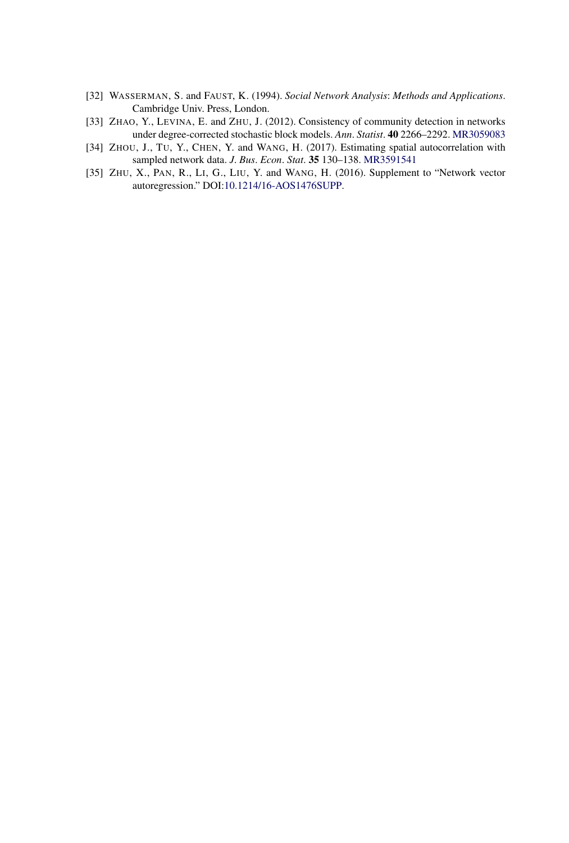- [32] WASSERMAN, S. and FAUST, K. (1994). *Social Network Analysis*: *Methods and Applications*. Cambridge Univ. Press, London.
- [33] ZHAO, Y., LEVINA, E. and ZHU, J. (2012). Consistency of community detection in networks under degree-corrected stochastic block models. *Ann*. *Statist*. **40** 2266–2292. [MR3059083](http://www.ams.org/mathscinet-getitem?mr=3059083)
- [34] ZHOU, J., TU, Y., CHEN, Y. and WANG, H. (2017). Estimating spatial autocorrelation with sampled network data. *J*. *Bus*. *Econ*. *Stat*. **35** 130–138. [MR3591541](http://www.ams.org/mathscinet-getitem?mr=3591541)
- [35] ZHU, X., PAN, R., LI, G., LIU, Y. and WANG, H. (2016). Supplement to "Network vector autoregression." DOI[:10.1214/16-AOS1476SUPP](http://dx.doi.org/10.1214/16-AOS1476SUPP).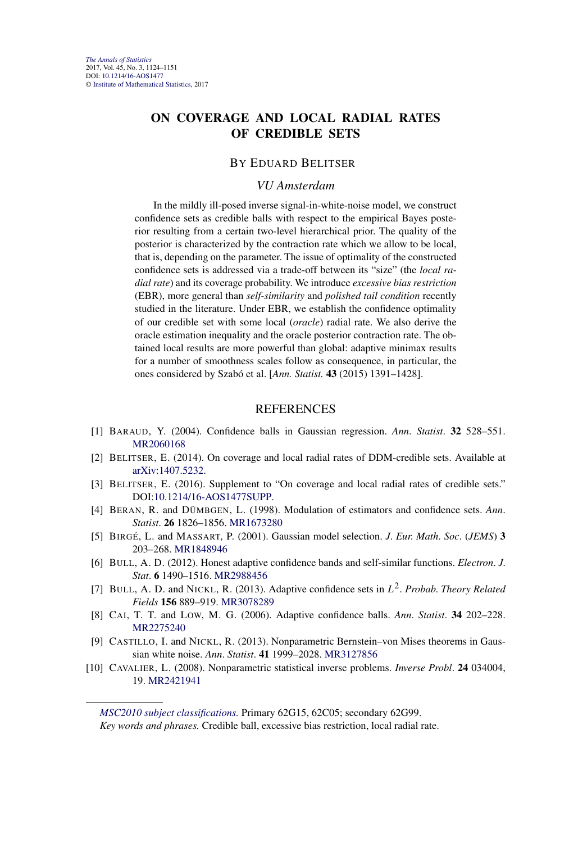# **ON COVERAGE AND LOCAL RADIAL RATES OF CREDIBLE SETS**

#### BY EDUARD BELITSER

#### *VU Amsterdam*

In the mildly ill-posed inverse signal-in-white-noise model, we construct confidence sets as credible balls with respect to the empirical Bayes posterior resulting from a certain two-level hierarchical prior. The quality of the posterior is characterized by the contraction rate which we allow to be local, that is, depending on the parameter. The issue of optimality of the constructed confidence sets is addressed via a trade-off between its "size" (the *local radial rate*) and its coverage probability. We introduce *excessive bias restriction* (EBR), more general than *self-similarity* and *polished tail condition* recently studied in the literature. Under EBR, we establish the confidence optimality of our credible set with some local (*oracle*) radial rate. We also derive the oracle estimation inequality and the oracle posterior contraction rate. The obtained local results are more powerful than global: adaptive minimax results for a number of smoothness scales follow as consequence, in particular, the ones considered by Szabó et al. [*Ann. Statist.* **43** (2015) 1391–1428].

#### REFERENCES

- [1] BARAUD, Y. (2004). Confidence balls in Gaussian regression. *Ann*. *Statist*. **32** 528–551. [MR2060168](http://www.ams.org/mathscinet-getitem?mr=2060168)
- [2] BELITSER, E. (2014). On coverage and local radial rates of DDM-credible sets. Available at [arXiv:1407.5232.](http://arxiv.org/abs/arXiv:1407.5232)
- [3] BELITSER, E. (2016). Supplement to "On coverage and local radial rates of credible sets." DOI[:10.1214/16-AOS1477SUPP](http://dx.doi.org/10.1214/16-AOS1477SUPP).
- [4] BERAN, R. and DÜMBGEN, L. (1998). Modulation of estimators and confidence sets. *Ann*. *Statist*. **26** 1826–1856. [MR1673280](http://www.ams.org/mathscinet-getitem?mr=1673280)
- [5] BIRGÉ, L. and MASSART, P. (2001). Gaussian model selection. *J*. *Eur*. *Math*. *Soc*. (*JEMS*) **3** 203–268. [MR1848946](http://www.ams.org/mathscinet-getitem?mr=1848946)
- [6] BULL, A. D. (2012). Honest adaptive confidence bands and self-similar functions. *Electron*. *J*. *Stat*. **6** 1490–1516. [MR2988456](http://www.ams.org/mathscinet-getitem?mr=2988456)
- [7] BULL, A. D. and NICKL, R. (2013). Adaptive confidence sets in *L*2. *Probab*. *Theory Related Fields* **156** 889–919. [MR3078289](http://www.ams.org/mathscinet-getitem?mr=3078289)
- [8] CAI, T. T. and LOW, M. G. (2006). Adaptive confidence balls. *Ann*. *Statist*. **34** 202–228. [MR2275240](http://www.ams.org/mathscinet-getitem?mr=2275240)
- [9] CASTILLO, I. and NICKL, R. (2013). Nonparametric Bernstein–von Mises theorems in Gaussian white noise. *Ann*. *Statist*. **41** 1999–2028. [MR3127856](http://www.ams.org/mathscinet-getitem?mr=3127856)
- [10] CAVALIER, L. (2008). Nonparametric statistical inverse problems. *Inverse Probl*. **24** 034004, 19. [MR2421941](http://www.ams.org/mathscinet-getitem?mr=2421941)

*[MSC2010 subject classifications.](http://www.ams.org/mathscinet/msc/msc2010.html)* Primary 62G15, 62C05; secondary 62G99.

*Key words and phrases.* Credible ball, excessive bias restriction, local radial rate.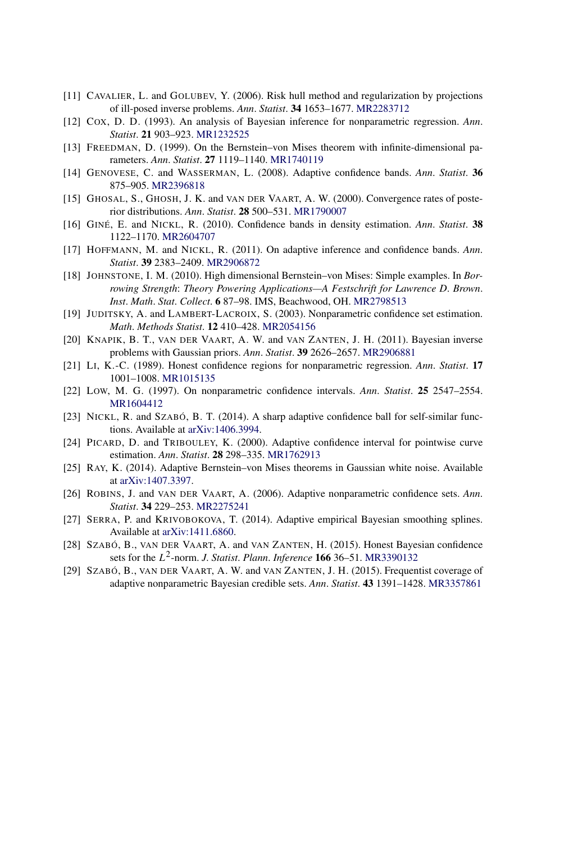- [11] CAVALIER, L. and GOLUBEV, Y. (2006). Risk hull method and regularization by projections of ill-posed inverse problems. *Ann*. *Statist*. **34** 1653–1677. [MR2283712](http://www.ams.org/mathscinet-getitem?mr=2283712)
- [12] COX, D. D. (1993). An analysis of Bayesian inference for nonparametric regression. *Ann*. *Statist*. **21** 903–923. [MR1232525](http://www.ams.org/mathscinet-getitem?mr=1232525)
- [13] FREEDMAN, D. (1999). On the Bernstein–von Mises theorem with infinite-dimensional parameters. *Ann*. *Statist*. **27** 1119–1140. [MR1740119](http://www.ams.org/mathscinet-getitem?mr=1740119)
- [14] GENOVESE, C. and WASSERMAN, L. (2008). Adaptive confidence bands. *Ann*. *Statist*. **36** 875–905. [MR2396818](http://www.ams.org/mathscinet-getitem?mr=2396818)
- [15] GHOSAL, S., GHOSH, J. K. and VAN DER VAART, A. W. (2000). Convergence rates of posterior distributions. *Ann*. *Statist*. **28** 500–531. [MR1790007](http://www.ams.org/mathscinet-getitem?mr=1790007)
- [16] GINÉ, E. and NICKL, R. (2010). Confidence bands in density estimation. *Ann*. *Statist*. **38** 1122–1170. [MR2604707](http://www.ams.org/mathscinet-getitem?mr=2604707)
- [17] HOFFMANN, M. and NICKL, R. (2011). On adaptive inference and confidence bands. *Ann*. *Statist*. **39** 2383–2409. [MR2906872](http://www.ams.org/mathscinet-getitem?mr=2906872)
- [18] JOHNSTONE, I. M. (2010). High dimensional Bernstein–von Mises: Simple examples. In *Borrowing Strength*: *Theory Powering Applications—A Festschrift for Lawrence D*. *Brown*. *Inst*. *Math*. *Stat*. *Collect*. **6** 87–98. IMS, Beachwood, OH. [MR2798513](http://www.ams.org/mathscinet-getitem?mr=2798513)
- [19] JUDITSKY, A. and LAMBERT-LACROIX, S. (2003). Nonparametric confidence set estimation. *Math*. *Methods Statist*. **12** 410–428. [MR2054156](http://www.ams.org/mathscinet-getitem?mr=2054156)
- [20] KNAPIK, B. T., VAN DER VAART, A. W. and VAN ZANTEN, J. H. (2011). Bayesian inverse problems with Gaussian priors. *Ann*. *Statist*. **39** 2626–2657. [MR2906881](http://www.ams.org/mathscinet-getitem?mr=2906881)
- [21] LI, K.-C. (1989). Honest confidence regions for nonparametric regression. *Ann*. *Statist*. **17** 1001–1008. [MR1015135](http://www.ams.org/mathscinet-getitem?mr=1015135)
- [22] LOW, M. G. (1997). On nonparametric confidence intervals. *Ann*. *Statist*. **25** 2547–2554. [MR1604412](http://www.ams.org/mathscinet-getitem?mr=1604412)
- [23] NICKL, R. and SZABÓ, B. T. (2014). A sharp adaptive confidence ball for self-similar functions. Available at [arXiv:1406.3994](http://arxiv.org/abs/arXiv:1406.3994).
- [24] PICARD, D. and TRIBOULEY, K. (2000). Adaptive confidence interval for pointwise curve estimation. *Ann*. *Statist*. **28** 298–335. [MR1762913](http://www.ams.org/mathscinet-getitem?mr=1762913)
- [25] RAY, K. (2014). Adaptive Bernstein–von Mises theorems in Gaussian white noise. Available at [arXiv:1407.3397](http://arxiv.org/abs/arXiv:1407.3397).
- [26] ROBINS, J. and VAN DER VAART, A. (2006). Adaptive nonparametric confidence sets. *Ann*. *Statist*. **34** 229–253. [MR2275241](http://www.ams.org/mathscinet-getitem?mr=2275241)
- [27] SERRA, P. and KRIVOBOKOVA, T. (2014). Adaptive empirical Bayesian smoothing splines. Available at [arXiv:1411.6860.](http://arxiv.org/abs/arXiv:1411.6860)
- [28] SZABÓ, B., VAN DER VAART, A. and VAN ZANTEN, H. (2015). Honest Bayesian confidence sets for the *L*2-norm. *J*. *Statist*. *Plann*. *Inference* **166** 36–51. [MR3390132](http://www.ams.org/mathscinet-getitem?mr=3390132)
- [29] SZABÓ, B., VAN DER VAART, A. W. and VAN ZANTEN, J. H. (2015). Frequentist coverage of adaptive nonparametric Bayesian credible sets. *Ann*. *Statist*. **43** 1391–1428. [MR3357861](http://www.ams.org/mathscinet-getitem?mr=3357861)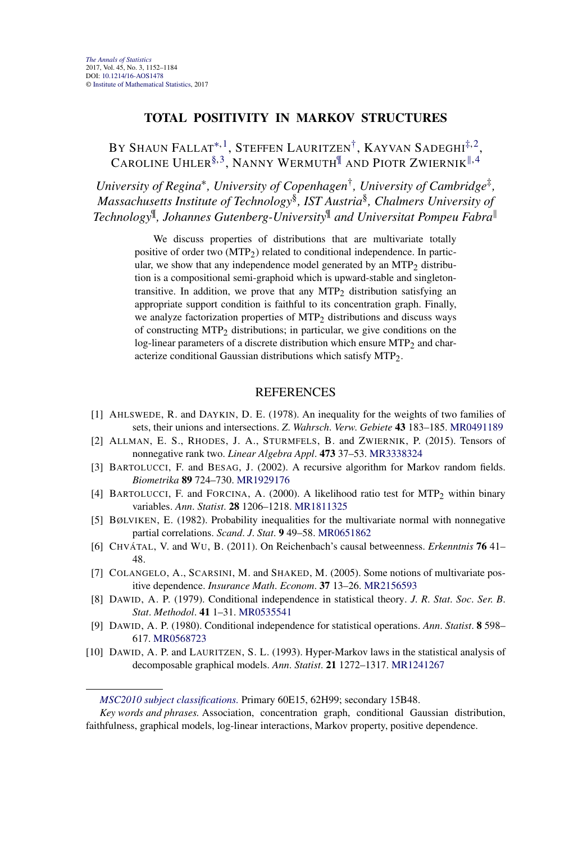# **TOTAL POSITIVITY IN MARKOV STRUCTURES**

# BY SHAUN FALLAT<sup>\*, 1</sup>, STEFFEN LAURITZEN<sup>†</sup>, KAYVAN SADEGHI<sup>[‡,](#page-1-0) 2</sup>, CAROLINE UHLER<sup>[§,](#page-4-0) 3</sup>, NANNY WERMUTH<sup>II</sup> AND PIOTR ZWIERNIK<sup>||, 4</sup>

*University of Regina*∗*, University of Copenhagen*†*, University of Cambridge*‡*, Massachusetts Institute of Technology*§*, IST Austria*§*, Chalmers University of Technology*¶*, Johannes Gutenberg-University*¶ *and Universitat Pompeu Fabra*

> We discuss properties of distributions that are multivariate totally positive of order two  $(MTP<sub>2</sub>)$  related to conditional independence. In particular, we show that any independence model generated by an  $MTP<sub>2</sub>$  distribution is a compositional semi-graphoid which is upward-stable and singletontransitive. In addition, we prove that any  $MTP<sub>2</sub>$  distribution satisfying an appropriate support condition is faithful to its concentration graph. Finally, we analyze factorization properties of  $MTP<sub>2</sub>$  distributions and discuss ways of constructing  $MTP_2$  distributions; in particular, we give conditions on the log-linear parameters of a discrete distribution which ensure  $MTP<sub>2</sub>$  and characterize conditional Gaussian distributions which satisfy MTP2.

- [1] AHLSWEDE, R. and DAYKIN, D. E. (1978). An inequality for the weights of two families of sets, their unions and intersections. *Z*. *Wahrsch*. *Verw*. *Gebiete* **43** 183–185. [MR0491189](http://www.ams.org/mathscinet-getitem?mr=0491189)
- [2] ALLMAN, E. S., RHODES, J. A., STURMFELS, B. and ZWIERNIK, P. (2015). Tensors of nonnegative rank two. *Linear Algebra Appl*. **473** 37–53. [MR3338324](http://www.ams.org/mathscinet-getitem?mr=3338324)
- [3] BARTOLUCCI, F. and BESAG, J. (2002). A recursive algorithm for Markov random fields. *Biometrika* **89** 724–730. [MR1929176](http://www.ams.org/mathscinet-getitem?mr=1929176)
- [4] BARTOLUCCI, F. and FORCINA, A. (2000). A likelihood ratio test for MTP2 within binary variables. *Ann*. *Statist*. **28** 1206–1218. [MR1811325](http://www.ams.org/mathscinet-getitem?mr=1811325)
- [5] BØLVIKEN, E. (1982). Probability inequalities for the multivariate normal with nonnegative partial correlations. *Scand*. *J*. *Stat*. **9** 49–58. [MR0651862](http://www.ams.org/mathscinet-getitem?mr=0651862)
- [6] CHVÁTAL, V. and WU, B. (2011). On Reichenbach's causal betweenness. *Erkenntnis* **76** 41– 48.
- [7] COLANGELO, A., SCARSINI, M. and SHAKED, M. (2005). Some notions of multivariate positive dependence. *Insurance Math*. *Econom*. **37** 13–26. [MR2156593](http://www.ams.org/mathscinet-getitem?mr=2156593)
- [8] DAWID, A. P. (1979). Conditional independence in statistical theory. *J*. *R*. *Stat*. *Soc*. *Ser*. *B*. *Stat*. *Methodol*. **41** 1–31. [MR0535541](http://www.ams.org/mathscinet-getitem?mr=0535541)
- [9] DAWID, A. P. (1980). Conditional independence for statistical operations. *Ann*. *Statist*. **8** 598– 617. [MR0568723](http://www.ams.org/mathscinet-getitem?mr=0568723)
- [10] DAWID, A. P. and LAURITZEN, S. L. (1993). Hyper-Markov laws in the statistical analysis of decomposable graphical models. *Ann*. *Statist*. **21** 1272–1317. [MR1241267](http://www.ams.org/mathscinet-getitem?mr=1241267)

*[MSC2010 subject classifications.](http://www.ams.org/mathscinet/msc/msc2010.html)* Primary 60E15, 62H99; secondary 15B48.

*Key words and phrases.* Association, concentration graph, conditional Gaussian distribution, faithfulness, graphical models, log-linear interactions, Markov property, positive dependence.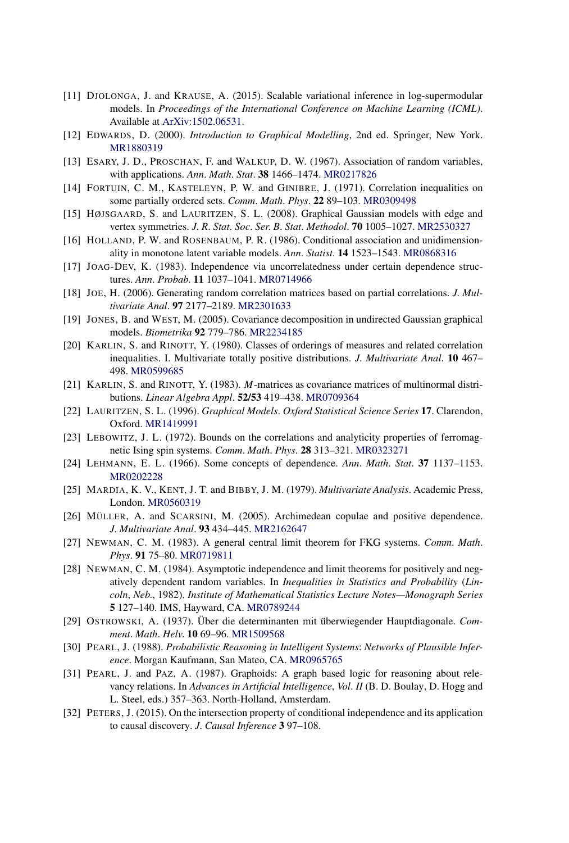- [11] DJOLONGA, J. and KRAUSE, A. (2015). Scalable variational inference in log-supermodular models. In *Proceedings of the International Conference on Machine Learning (ICML)*. Available at [ArXiv:1502.06531.](http://arxiv.org/abs/ArXiv:1502.06531)
- [12] EDWARDS, D. (2000). *Introduction to Graphical Modelling*, 2nd ed. Springer, New York. [MR1880319](http://www.ams.org/mathscinet-getitem?mr=1880319)
- [13] ESARY, J. D., PROSCHAN, F. and WALKUP, D. W. (1967). Association of random variables, with applications. *Ann*. *Math*. *Stat*. **38** 1466–1474. [MR0217826](http://www.ams.org/mathscinet-getitem?mr=0217826)
- [14] FORTUIN, C. M., KASTELEYN, P. W. and GINIBRE, J. (1971). Correlation inequalities on some partially ordered sets. *Comm*. *Math*. *Phys*. **22** 89–103. [MR0309498](http://www.ams.org/mathscinet-getitem?mr=0309498)
- [15] HØJSGAARD, S. and LAURITZEN, S. L. (2008). Graphical Gaussian models with edge and vertex symmetries. *J*. *R*. *Stat*. *Soc*. *Ser*. *B*. *Stat*. *Methodol*. **70** 1005–1027. [MR2530327](http://www.ams.org/mathscinet-getitem?mr=2530327)
- [16] HOLLAND, P. W. and ROSENBAUM, P. R. (1986). Conditional association and unidimensionality in monotone latent variable models. *Ann*. *Statist*. **14** 1523–1543. [MR0868316](http://www.ams.org/mathscinet-getitem?mr=0868316)
- [17] JOAG-DEV, K. (1983). Independence via uncorrelatedness under certain dependence structures. *Ann*. *Probab*. **11** 1037–1041. [MR0714966](http://www.ams.org/mathscinet-getitem?mr=0714966)
- [18] JOE, H. (2006). Generating random correlation matrices based on partial correlations. *J*. *Multivariate Anal*. **97** 2177–2189. [MR2301633](http://www.ams.org/mathscinet-getitem?mr=2301633)
- [19] JONES, B. and WEST, M. (2005). Covariance decomposition in undirected Gaussian graphical models. *Biometrika* **92** 779–786. [MR2234185](http://www.ams.org/mathscinet-getitem?mr=2234185)
- [20] KARLIN, S. and RINOTT, Y. (1980). Classes of orderings of measures and related correlation inequalities. I. Multivariate totally positive distributions. *J*. *Multivariate Anal*. **10** 467– 498. [MR0599685](http://www.ams.org/mathscinet-getitem?mr=0599685)
- [21] KARLIN, S. and RINOTT, Y. (1983). *M*-matrices as covariance matrices of multinormal distributions. *Linear Algebra Appl*. **52/53** 419–438. [MR0709364](http://www.ams.org/mathscinet-getitem?mr=0709364)
- [22] LAURITZEN, S. L. (1996). *Graphical Models*. *Oxford Statistical Science Series* **17**. Clarendon, Oxford. [MR1419991](http://www.ams.org/mathscinet-getitem?mr=1419991)
- [23] LEBOWITZ, J. L. (1972). Bounds on the correlations and analyticity properties of ferromagnetic Ising spin systems. *Comm*. *Math*. *Phys*. **28** 313–321. [MR0323271](http://www.ams.org/mathscinet-getitem?mr=0323271)
- [24] LEHMANN, E. L. (1966). Some concepts of dependence. *Ann*. *Math*. *Stat*. **37** 1137–1153. [MR0202228](http://www.ams.org/mathscinet-getitem?mr=0202228)
- [25] MARDIA, K. V., KENT, J. T. and BIBBY, J. M. (1979). *Multivariate Analysis*. Academic Press, London. [MR0560319](http://www.ams.org/mathscinet-getitem?mr=0560319)
- [26] MÜLLER, A. and SCARSINI, M. (2005). Archimedean copulae and positive dependence. *J*. *Multivariate Anal*. **93** 434–445. [MR2162647](http://www.ams.org/mathscinet-getitem?mr=2162647)
- [27] NEWMAN, C. M. (1983). A general central limit theorem for FKG systems. *Comm*. *Math*. *Phys*. **91** 75–80. [MR0719811](http://www.ams.org/mathscinet-getitem?mr=0719811)
- [28] NEWMAN, C. M. (1984). Asymptotic independence and limit theorems for positively and negatively dependent random variables. In *Inequalities in Statistics and Probability* (*Lincoln*, *Neb*., 1982). *Institute of Mathematical Statistics Lecture Notes—Monograph Series* **5** 127–140. IMS, Hayward, CA. [MR0789244](http://www.ams.org/mathscinet-getitem?mr=0789244)
- [29] OSTROWSKI, A. (1937). Über die determinanten mit überwiegender Hauptdiagonale. *Comment*. *Math*. *Helv*. **10** 69–96. [MR1509568](http://www.ams.org/mathscinet-getitem?mr=1509568)
- [30] PEARL, J. (1988). *Probabilistic Reasoning in Intelligent Systems*: *Networks of Plausible Inference*. Morgan Kaufmann, San Mateo, CA. [MR0965765](http://www.ams.org/mathscinet-getitem?mr=0965765)
- [31] PEARL, J. and PAZ, A. (1987). Graphoids: A graph based logic for reasoning about relevancy relations. In *Advances in Artificial Intelligence*, *Vol*. *II* (B. D. Boulay, D. Hogg and L. Steel, eds.) 357–363. North-Holland, Amsterdam.
- [32] PETERS, J. (2015). On the intersection property of conditional independence and its application to causal discovery. *J*. *Causal Inference* **3** 97–108.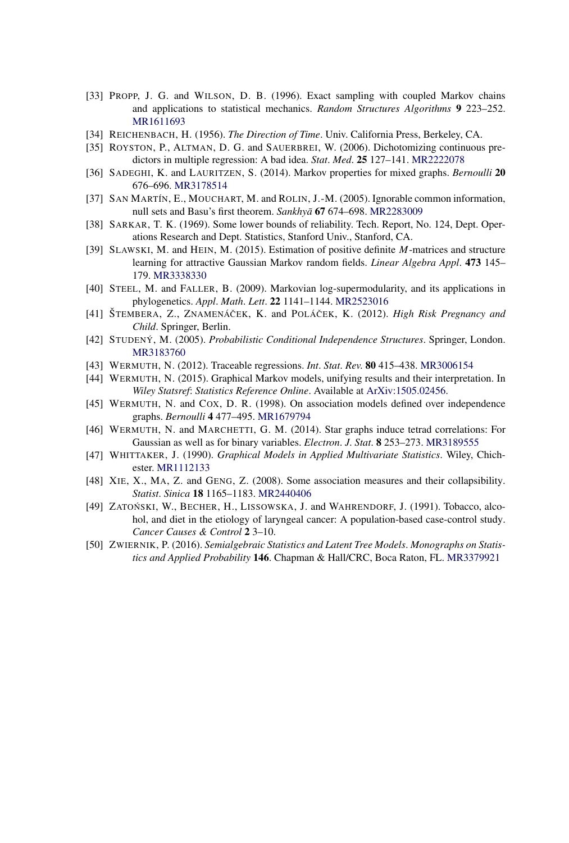- [33] PROPP, J. G. and WILSON, D. B. (1996). Exact sampling with coupled Markov chains and applications to statistical mechanics. *Random Structures Algorithms* **9** 223–252. [MR1611693](http://www.ams.org/mathscinet-getitem?mr=1611693)
- [34] REICHENBACH, H. (1956). *The Direction of Time*. Univ. California Press, Berkeley, CA.
- [35] ROYSTON, P., ALTMAN, D. G. and SAUERBREI, W. (2006). Dichotomizing continuous predictors in multiple regression: A bad idea. *Stat*. *Med*. **25** 127–141. [MR2222078](http://www.ams.org/mathscinet-getitem?mr=2222078)
- [36] SADEGHI, K. and LAURITZEN, S. (2014). Markov properties for mixed graphs. *Bernoulli* **20** 676–696. [MR3178514](http://www.ams.org/mathscinet-getitem?mr=3178514)
- [37] SAN MARTÍN, E., MOUCHART, M. and ROLIN, J.-M. (2005). Ignorable common information, null sets and Basu's first theorem. *Sankhya¯* **67** 674–698. [MR2283009](http://www.ams.org/mathscinet-getitem?mr=2283009)
- [38] SARKAR, T. K. (1969). Some lower bounds of reliability. Tech. Report, No. 124, Dept. Operations Research and Dept. Statistics, Stanford Univ., Stanford, CA.
- [39] SLAWSKI, M. and HEIN, M. (2015). Estimation of positive definite *M*-matrices and structure learning for attractive Gaussian Markov random fields. *Linear Algebra Appl*. **473** 145– 179. [MR3338330](http://www.ams.org/mathscinet-getitem?mr=3338330)
- [40] STEEL, M. and FALLER, B. (2009). Markovian log-supermodularity, and its applications in phylogenetics. *Appl*. *Math*. *Lett*. **22** 1141–1144. [MR2523016](http://www.ams.org/mathscinet-getitem?mr=2523016)
- [41] ŠTEMBERA, Z., ZNAMENÁČEK, K. and POLÁČEK, K. (2012). *High Risk Pregnancy and Child*. Springer, Berlin.
- [42] STUDENÝ, M. (2005). *Probabilistic Conditional Independence Structures*. Springer, London. [MR3183760](http://www.ams.org/mathscinet-getitem?mr=3183760)
- [43] WERMUTH, N. (2012). Traceable regressions. *Int*. *Stat*. *Rev*. **80** 415–438. [MR3006154](http://www.ams.org/mathscinet-getitem?mr=3006154)
- [44] WERMUTH, N. (2015). Graphical Markov models, unifying results and their interpretation. In *Wiley Statsref*: *Statistics Reference Online*. Available at [ArXiv:1505.02456.](http://arxiv.org/abs/ArXiv:1505.02456)
- [45] WERMUTH, N. and COX, D. R. (1998). On association models defined over independence graphs. *Bernoulli* **4** 477–495. [MR1679794](http://www.ams.org/mathscinet-getitem?mr=1679794)
- [46] WERMUTH, N. and MARCHETTI, G. M. (2014). Star graphs induce tetrad correlations: For Gaussian as well as for binary variables. *Electron*. *J*. *Stat*. **8** 253–273. [MR3189555](http://www.ams.org/mathscinet-getitem?mr=3189555)
- [47] WHITTAKER, J. (1990). *Graphical Models in Applied Multivariate Statistics*. Wiley, Chichester. [MR1112133](http://www.ams.org/mathscinet-getitem?mr=1112133)
- [48] XIE, X., MA, Z. and GENG, Z. (2008). Some association measures and their collapsibility. *Statist*. *Sinica* **18** 1165–1183. [MR2440406](http://www.ams.org/mathscinet-getitem?mr=2440406)
- [49] ZATOŃSKI, W., BECHER, H., LISSOWSKA, J. and WAHRENDORF, J. (1991). Tobacco, alcohol, and diet in the etiology of laryngeal cancer: A population-based case-control study. *Cancer Causes & Control* **2** 3–10.
- [50] ZWIERNIK, P. (2016). *Semialgebraic Statistics and Latent Tree Models*. *Monographs on Statistics and Applied Probability* **146**. Chapman & Hall/CRC, Boca Raton, FL. [MR3379921](http://www.ams.org/mathscinet-getitem?mr=3379921)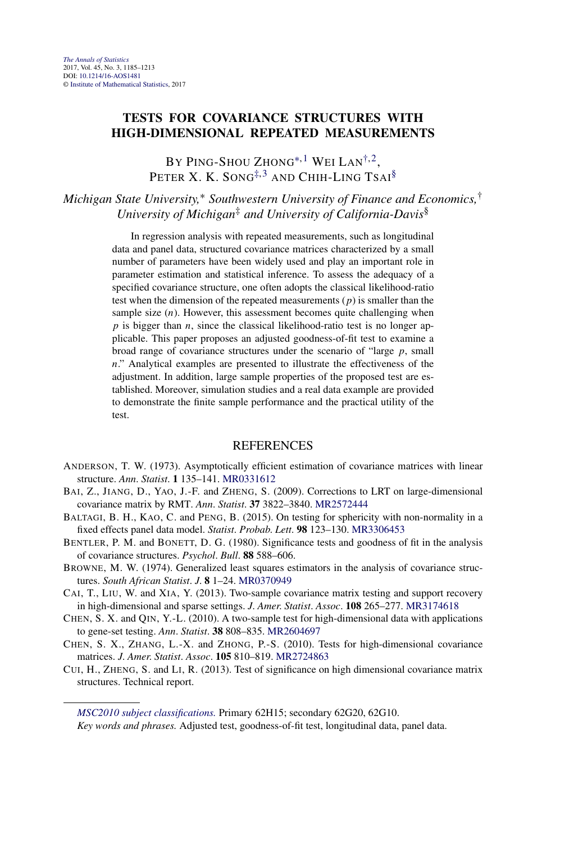# <span id="page-24-0"></span>**TESTS FOR COVARIANCE STRUCTURES WITH HIGH-DIMENSIONAL REPEATED MEASUREMENTS**

BY PING-SHOU ZHONG<sup>\*,1</sup> WEI LAN<sup>†,2</sup>, PETER X. K. SONG<sup> $\ddagger$ , 3</sup> AND CHIH-LING TSAI<sup>§</sup>

*Michigan State University,*<sup>∗</sup> *Southwestern University of Finance and Economics,*† *University of Michigan*‡ *and University of California-Davis*§

> In regression analysis with repeated measurements, such as longitudinal data and panel data, structured covariance matrices characterized by a small number of parameters have been widely used and play an important role in parameter estimation and statistical inference. To assess the adequacy of a specified covariance structure, one often adopts the classical likelihood-ratio test when the dimension of the repeated measurements (*p*) is smaller than the sample size (*n*). However, this assessment becomes quite challenging when *p* is bigger than *n*, since the classical likelihood-ratio test is no longer applicable. This paper proposes an adjusted goodness-of-fit test to examine a broad range of covariance structures under the scenario of "large *p*, small *n*." Analytical examples are presented to illustrate the effectiveness of the adjustment. In addition, large sample properties of the proposed test are established. Moreover, simulation studies and a real data example are provided to demonstrate the finite sample performance and the practical utility of the test.

#### **REFERENCES**

- ANDERSON, T. W. (1973). Asymptotically efficient estimation of covariance matrices with linear structure. *Ann*. *Statist*. **1** 135–141. [MR0331612](http://www.ams.org/mathscinet-getitem?mr=0331612)
- BAI, Z., JIANG, D., YAO, J.-F. and ZHENG, S. (2009). Corrections to LRT on large-dimensional covariance matrix by RMT. *Ann*. *Statist*. **37** 3822–3840. [MR2572444](http://www.ams.org/mathscinet-getitem?mr=2572444)
- BALTAGI, B. H., KAO, C. and PENG, B. (2015). On testing for sphericity with non-normality in a fixed effects panel data model. *Statist*. *Probab*. *Lett*. **98** 123–130. [MR3306453](http://www.ams.org/mathscinet-getitem?mr=3306453)
- BENTLER, P. M. and BONETT, D. G. (1980). Significance tests and goodness of fit in the analysis of covariance structures. *Psychol*. *Bull*. **88** 588–606.
- BROWNE, M. W. (1974). Generalized least squares estimators in the analysis of covariance structures. *South African Statist*. *J*. **8** 1–24. [MR0370949](http://www.ams.org/mathscinet-getitem?mr=0370949)
- CAI, T., LIU, W. and XIA, Y. (2013). Two-sample covariance matrix testing and support recovery in high-dimensional and sparse settings. *J*. *Amer*. *Statist*. *Assoc*. **108** 265–277. [MR3174618](http://www.ams.org/mathscinet-getitem?mr=3174618)
- CHEN, S. X. and QIN, Y.-L. (2010). A two-sample test for high-dimensional data with applications to gene-set testing. *Ann*. *Statist*. **38** 808–835. [MR2604697](http://www.ams.org/mathscinet-getitem?mr=2604697)
- CHEN, S. X., ZHANG, L.-X. and ZHONG, P.-S. (2010). Tests for high-dimensional covariance matrices. *J*. *Amer*. *Statist*. *Assoc*. **105** 810–819. [MR2724863](http://www.ams.org/mathscinet-getitem?mr=2724863)
- CUI, H., ZHENG, S. and LI, R. (2013). Test of significance on high dimensional covariance matrix structures. Technical report.

*[MSC2010 subject classifications.](http://www.ams.org/mathscinet/msc/msc2010.html)* Primary 62H15; secondary 62G20, 62G10. *Key words and phrases.* Adjusted test, goodness-of-fit test, longitudinal data, panel data.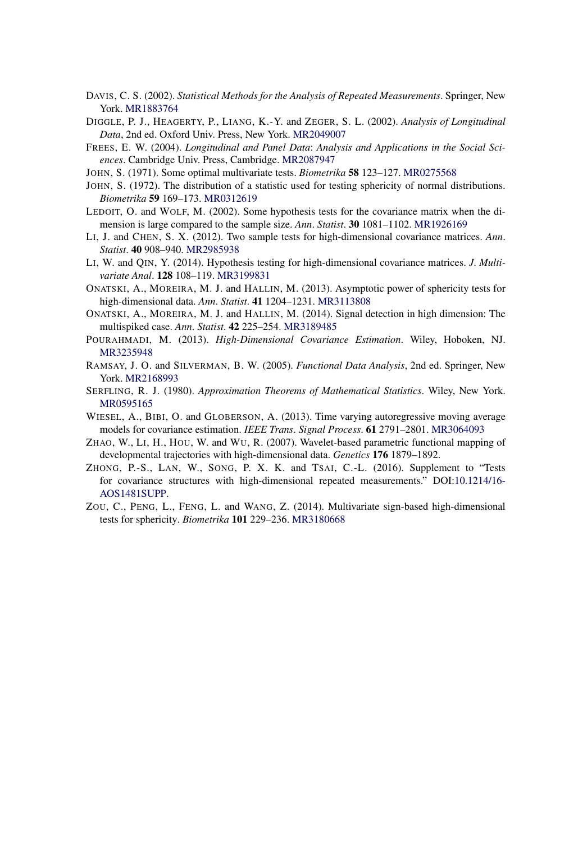- DAVIS, C. S. (2002). *Statistical Methods for the Analysis of Repeated Measurements*. Springer, New York. [MR1883764](http://www.ams.org/mathscinet-getitem?mr=1883764)
- DIGGLE, P. J., HEAGERTY, P., LIANG, K.-Y. and ZEGER, S. L. (2002). *Analysis of Longitudinal Data*, 2nd ed. Oxford Univ. Press, New York. [MR2049007](http://www.ams.org/mathscinet-getitem?mr=2049007)
- FREES, E. W. (2004). *Longitudinal and Panel Data*: *Analysis and Applications in the Social Sciences*. Cambridge Univ. Press, Cambridge. [MR2087947](http://www.ams.org/mathscinet-getitem?mr=2087947)
- JOHN, S. (1971). Some optimal multivariate tests. *Biometrika* **58** 123–127. [MR0275568](http://www.ams.org/mathscinet-getitem?mr=0275568)
- JOHN, S. (1972). The distribution of a statistic used for testing sphericity of normal distributions. *Biometrika* **59** 169–173. [MR0312619](http://www.ams.org/mathscinet-getitem?mr=0312619)
- LEDOIT, O. and WOLF, M. (2002). Some hypothesis tests for the covariance matrix when the dimension is large compared to the sample size. *Ann*. *Statist*. **30** 1081–1102. [MR1926169](http://www.ams.org/mathscinet-getitem?mr=1926169)
- LI, J. and CHEN, S. X. (2012). Two sample tests for high-dimensional covariance matrices. *Ann*. *Statist*. **40** 908–940. [MR2985938](http://www.ams.org/mathscinet-getitem?mr=2985938)
- LI, W. and QIN, Y. (2014). Hypothesis testing for high-dimensional covariance matrices. *J*. *Multivariate Anal*. **128** 108–119. [MR3199831](http://www.ams.org/mathscinet-getitem?mr=3199831)
- ONATSKI, A., MOREIRA, M. J. and HALLIN, M. (2013). Asymptotic power of sphericity tests for high-dimensional data. *Ann*. *Statist*. **41** 1204–1231. [MR3113808](http://www.ams.org/mathscinet-getitem?mr=3113808)
- ONATSKI, A., MOREIRA, M. J. and HALLIN, M. (2014). Signal detection in high dimension: The multispiked case. *Ann*. *Statist*. **42** 225–254. [MR3189485](http://www.ams.org/mathscinet-getitem?mr=3189485)
- POURAHMADI, M. (2013). *High-Dimensional Covariance Estimation*. Wiley, Hoboken, NJ. [MR3235948](http://www.ams.org/mathscinet-getitem?mr=3235948)
- RAMSAY, J. O. and SILVERMAN, B. W. (2005). *Functional Data Analysis*, 2nd ed. Springer, New York. [MR2168993](http://www.ams.org/mathscinet-getitem?mr=2168993)
- SERFLING, R. J. (1980). *Approximation Theorems of Mathematical Statistics*. Wiley, New York. [MR0595165](http://www.ams.org/mathscinet-getitem?mr=0595165)
- WIESEL, A., BIBI, O. and GLOBERSON, A. (2013). Time varying autoregressive moving average models for covariance estimation. *IEEE Trans*. *Signal Process*. **61** 2791–2801. [MR3064093](http://www.ams.org/mathscinet-getitem?mr=3064093)
- ZHAO, W., LI, H., HOU, W. and WU, R. (2007). Wavelet-based parametric functional mapping of developmental trajectories with high-dimensional data. *Genetics* **176** 1879–1892.
- ZHONG, P.-S., LAN, W., SONG, P. X. K. and TSAI, C.-L. (2016). Supplement to "Tests for covariance structures with high-dimensional repeated measurements." DOI[:10.1214/16-](http://dx.doi.org/10.1214/16-AOS1481SUPP) [AOS1481SUPP](http://dx.doi.org/10.1214/16-AOS1481SUPP).
- ZOU, C., PENG, L., FENG, L. and WANG, Z. (2014). Multivariate sign-based high-dimensional tests for sphericity. *Biometrika* **101** 229–236. [MR3180668](http://www.ams.org/mathscinet-getitem?mr=3180668)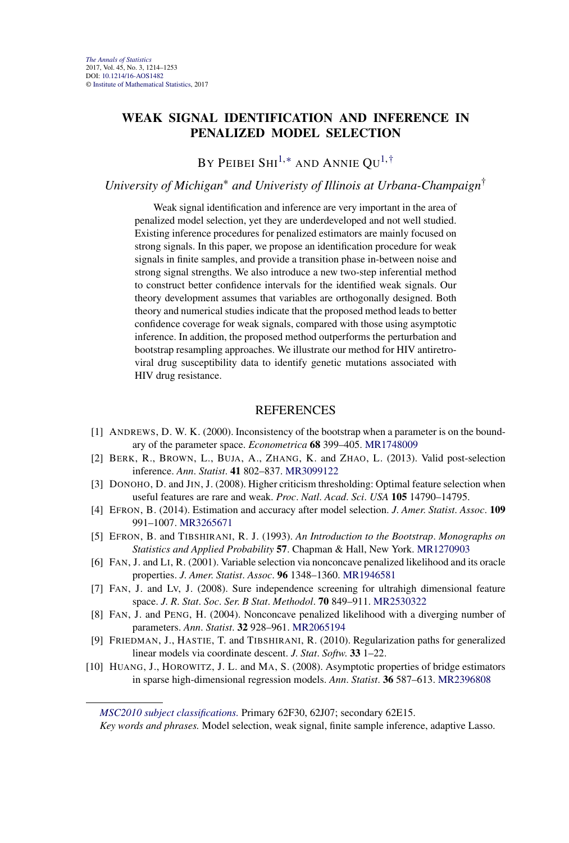# **WEAK SIGNAL IDENTIFICATION AND INFERENCE IN PENALIZED MODEL SELECTION**

BY PEIBEI SHI<sup>1,[∗](#page-1-0)</sup> AND ANNIE QU<sup>1[,†](#page-1-0)</sup>

#### *University of Michigan*<sup>∗</sup> *and Univeristy of Illinois at Urbana-Champaign*†

Weak signal identification and inference are very important in the area of penalized model selection, yet they are underdeveloped and not well studied. Existing inference procedures for penalized estimators are mainly focused on strong signals. In this paper, we propose an identification procedure for weak signals in finite samples, and provide a transition phase in-between noise and strong signal strengths. We also introduce a new two-step inferential method to construct better confidence intervals for the identified weak signals. Our theory development assumes that variables are orthogonally designed. Both theory and numerical studies indicate that the proposed method leads to better confidence coverage for weak signals, compared with those using asymptotic inference. In addition, the proposed method outperforms the perturbation and bootstrap resampling approaches. We illustrate our method for HIV antiretroviral drug susceptibility data to identify genetic mutations associated with HIV drug resistance.

#### **REFERENCES**

- [1] ANDREWS, D. W. K. (2000). Inconsistency of the bootstrap when a parameter is on the boundary of the parameter space. *Econometrica* **68** 399–405. [MR1748009](http://www.ams.org/mathscinet-getitem?mr=1748009)
- [2] BERK, R., BROWN, L., BUJA, A., ZHANG, K. and ZHAO, L. (2013). Valid post-selection inference. *Ann*. *Statist*. **41** 802–837. [MR3099122](http://www.ams.org/mathscinet-getitem?mr=3099122)
- [3] DONOHO, D. and JIN, J. (2008). Higher criticism thresholding: Optimal feature selection when useful features are rare and weak. *Proc*. *Natl*. *Acad*. *Sci*. *USA* **105** 14790–14795.
- [4] EFRON, B. (2014). Estimation and accuracy after model selection. *J*. *Amer*. *Statist*. *Assoc*. **109** 991–1007. [MR3265671](http://www.ams.org/mathscinet-getitem?mr=3265671)
- [5] EFRON, B. and TIBSHIRANI, R. J. (1993). *An Introduction to the Bootstrap*. *Monographs on Statistics and Applied Probability* **57**. Chapman & Hall, New York. [MR1270903](http://www.ams.org/mathscinet-getitem?mr=1270903)
- [6] FAN, J. and LI, R. (2001). Variable selection via nonconcave penalized likelihood and its oracle properties. *J*. *Amer*. *Statist*. *Assoc*. **96** 1348–1360. [MR1946581](http://www.ams.org/mathscinet-getitem?mr=1946581)
- [7] FAN, J. and LV, J. (2008). Sure independence screening for ultrahigh dimensional feature space. *J*. *R*. *Stat*. *Soc*. *Ser*. *B Stat*. *Methodol*. **70** 849–911. [MR2530322](http://www.ams.org/mathscinet-getitem?mr=2530322)
- [8] FAN, J. and PENG, H. (2004). Nonconcave penalized likelihood with a diverging number of parameters. *Ann*. *Statist*. **32** 928–961. [MR2065194](http://www.ams.org/mathscinet-getitem?mr=2065194)
- [9] FRIEDMAN, J., HASTIE, T. and TIBSHIRANI, R. (2010). Regularization paths for generalized linear models via coordinate descent. *J*. *Stat*. *Softw*. **33** 1–22.
- [10] HUANG, J., HOROWITZ, J. L. and MA, S. (2008). Asymptotic properties of bridge estimators in sparse high-dimensional regression models. *Ann*. *Statist*. **36** 587–613. [MR2396808](http://www.ams.org/mathscinet-getitem?mr=2396808)

*[MSC2010 subject classifications.](http://www.ams.org/mathscinet/msc/msc2010.html)* Primary 62F30, 62J07; secondary 62E15.

*Key words and phrases.* Model selection, weak signal, finite sample inference, adaptive Lasso.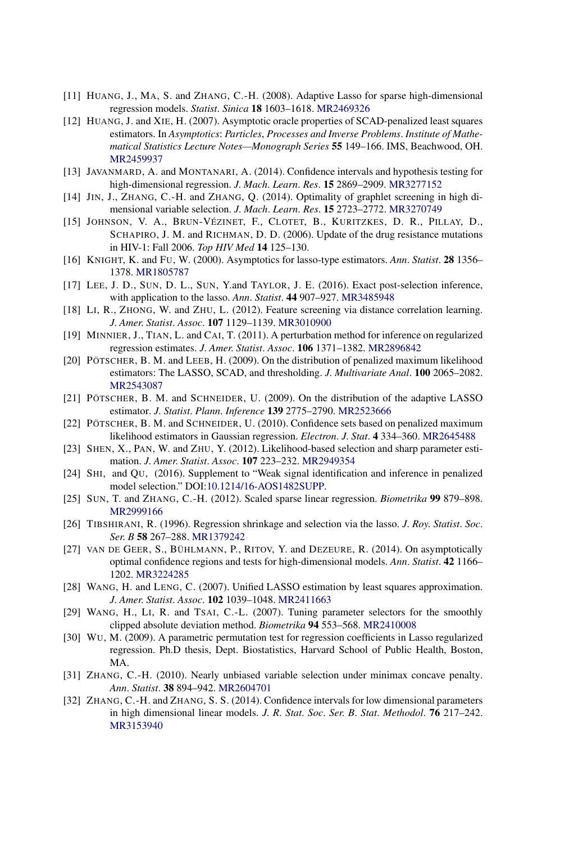- [11] HUANG, J., MA, S. and ZHANG, C.-H. (2008). Adaptive Lasso for sparse high-dimensional regression models. *Statist*. *Sinica* **18** 1603–1618. [MR2469326](http://www.ams.org/mathscinet-getitem?mr=2469326)
- [12] HUANG, J. and XIE, H. (2007). Asymptotic oracle properties of SCAD-penalized least squares estimators. In *Asymptotics*: *Particles*, *Processes and Inverse Problems*. *Institute of Mathematical Statistics Lecture Notes—Monograph Series* **55** 149–166. IMS, Beachwood, OH. [MR2459937](http://www.ams.org/mathscinet-getitem?mr=2459937)
- [13] JAVANMARD, A. and MONTANARI, A. (2014). Confidence intervals and hypothesis testing for high-dimensional regression. *J*. *Mach*. *Learn*. *Res*. **15** 2869–2909. [MR3277152](http://www.ams.org/mathscinet-getitem?mr=3277152)
- [14] JIN, J., ZHANG, C.-H. and ZHANG, Q. (2014). Optimality of graphlet screening in high dimensional variable selection. *J*. *Mach*. *Learn*. *Res*. **15** 2723–2772. [MR3270749](http://www.ams.org/mathscinet-getitem?mr=3270749)
- [15] JOHNSON, V. A., BRUN-VÉZINET, F., CLOTET, B., KURITZKES, D. R., PILLAY, D., SCHAPIRO, J. M. and RICHMAN, D. D. (2006). Update of the drug resistance mutations in HIV-1: Fall 2006. *Top HIV Med* **14** 125–130.
- [16] KNIGHT, K. and FU, W. (2000). Asymptotics for lasso-type estimators. *Ann*. *Statist*. **28** 1356– 1378. [MR1805787](http://www.ams.org/mathscinet-getitem?mr=1805787)
- [17] LEE, J. D., SUN, D. L., SUN, Y.and TAYLOR, J. E. (2016). Exact post-selection inference, with application to the lasso. *Ann*. *Statist*. **44** 907–927. [MR3485948](http://www.ams.org/mathscinet-getitem?mr=3485948)
- [18] LI, R., ZHONG, W. and ZHU, L. (2012). Feature screening via distance correlation learning. *J*. *Amer*. *Statist*. *Assoc*. **107** 1129–1139. [MR3010900](http://www.ams.org/mathscinet-getitem?mr=3010900)
- [19] MINNIER, J., TIAN, L. and CAI, T. (2011). A perturbation method for inference on regularized regression estimates. *J*. *Amer*. *Statist*. *Assoc*. **106** 1371–1382. [MR2896842](http://www.ams.org/mathscinet-getitem?mr=2896842)
- [20] PÖTSCHER, B. M. and LEEB, H. (2009). On the distribution of penalized maximum likelihood estimators: The LASSO, SCAD, and thresholding. *J*. *Multivariate Anal*. **100** 2065–2082. [MR2543087](http://www.ams.org/mathscinet-getitem?mr=2543087)
- [21] PÖTSCHER, B. M. and SCHNEIDER, U. (2009). On the distribution of the adaptive LASSO estimator. *J*. *Statist*. *Plann*. *Inference* **139** 2775–2790. [MR2523666](http://www.ams.org/mathscinet-getitem?mr=2523666)
- [22] PÖTSCHER, B. M. and SCHNEIDER, U. (2010). Confidence sets based on penalized maximum likelihood estimators in Gaussian regression. *Electron*. *J*. *Stat*. **4** 334–360. [MR2645488](http://www.ams.org/mathscinet-getitem?mr=2645488)
- [23] SHEN, X., PAN, W. and ZHU, Y. (2012). Likelihood-based selection and sharp parameter estimation. *J*. *Amer*. *Statist*. *Assoc*. **107** 223–232. [MR2949354](http://www.ams.org/mathscinet-getitem?mr=2949354)
- [24] SHI, and QU, (2016). Supplement to "Weak signal identification and inference in penalized model selection." DOI[:10.1214/16-AOS1482SUPP](http://dx.doi.org/10.1214/16-AOS1482SUPP).
- [25] SUN, T. and ZHANG, C.-H. (2012). Scaled sparse linear regression. *Biometrika* **99** 879–898. [MR2999166](http://www.ams.org/mathscinet-getitem?mr=2999166)
- [26] TIBSHIRANI, R. (1996). Regression shrinkage and selection via the lasso. *J*. *Roy*. *Statist*. *Soc*. *Ser*. *B* **58** 267–288. [MR1379242](http://www.ams.org/mathscinet-getitem?mr=1379242)
- [27] VAN DE GEER, S., BÜHLMANN, P., RITOV, Y. and DEZEURE, R. (2014). On asymptotically optimal confidence regions and tests for high-dimensional models. *Ann*. *Statist*. **42** 1166– 1202. [MR3224285](http://www.ams.org/mathscinet-getitem?mr=3224285)
- [28] WANG, H. and LENG, C. (2007). Unified LASSO estimation by least squares approximation. *J*. *Amer*. *Statist*. *Assoc*. **102** 1039–1048. [MR2411663](http://www.ams.org/mathscinet-getitem?mr=2411663)
- [29] WANG, H., LI, R. and TSAI, C.-L. (2007). Tuning parameter selectors for the smoothly clipped absolute deviation method. *Biometrika* **94** 553–568. [MR2410008](http://www.ams.org/mathscinet-getitem?mr=2410008)
- [30] WU, M. (2009). A parametric permutation test for regression coefficients in Lasso regularized regression. Ph.D thesis, Dept. Biostatistics, Harvard School of Public Health, Boston, MA.
- [31] ZHANG, C.-H. (2010). Nearly unbiased variable selection under minimax concave penalty. *Ann*. *Statist*. **38** 894–942. [MR2604701](http://www.ams.org/mathscinet-getitem?mr=2604701)
- [32] ZHANG, C.-H. and ZHANG, S. S. (2014). Confidence intervals for low dimensional parameters in high dimensional linear models. *J*. *R*. *Stat*. *Soc*. *Ser*. *B*. *Stat*. *Methodol*. **76** 217–242. [MR3153940](http://www.ams.org/mathscinet-getitem?mr=3153940)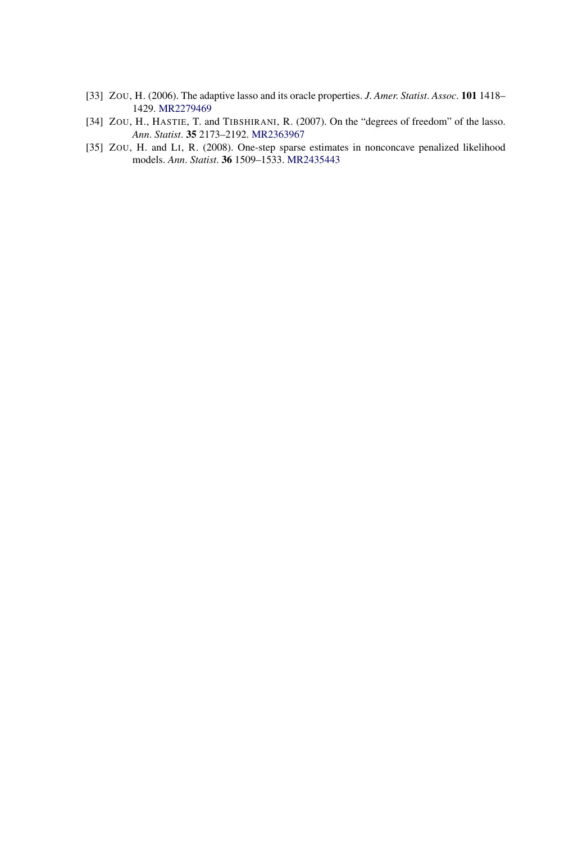- [33] ZOU, H. (2006). The adaptive lasso and its oracle properties. *J*. *Amer*. *Statist*. *Assoc*. **101** 1418– 1429. [MR2279469](http://www.ams.org/mathscinet-getitem?mr=2279469)
- [34] ZOU, H., HASTIE, T. and TIBSHIRANI, R. (2007). On the "degrees of freedom" of the lasso. *Ann*. *Statist*. **35** 2173–2192. [MR2363967](http://www.ams.org/mathscinet-getitem?mr=2363967)
- [35] ZOU, H. and LI, R. (2008). One-step sparse estimates in nonconcave penalized likelihood models. *Ann*. *Statist*. **36** 1509–1533. [MR2435443](http://www.ams.org/mathscinet-getitem?mr=2435443)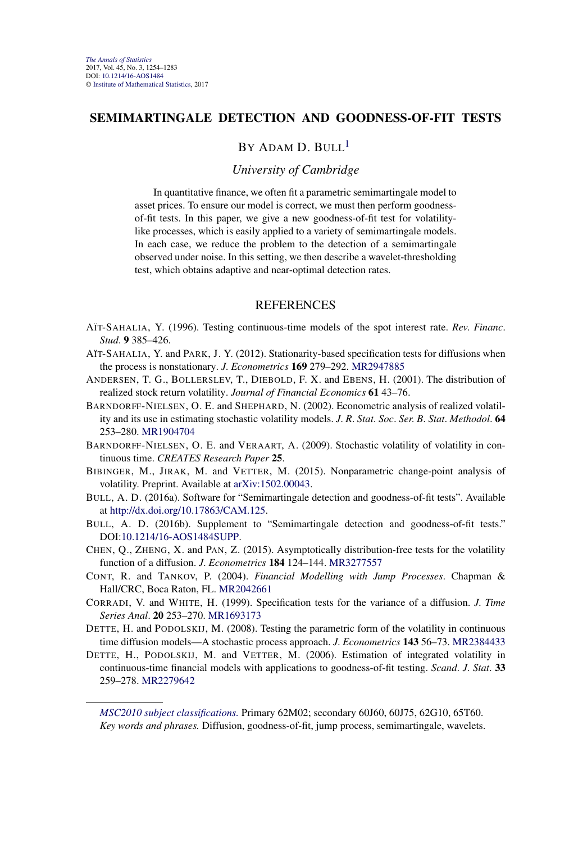#### **SEMIMARTINGALE DETECTION AND GOODNESS-OF-FIT TESTS**

# $BY$  ADAM D. BULL<sup>1</sup>

#### *University of Cambridge*

In quantitative finance, we often fit a parametric semimartingale model to asset prices. To ensure our model is correct, we must then perform goodnessof-fit tests. In this paper, we give a new goodness-of-fit test for volatilitylike processes, which is easily applied to a variety of semimartingale models. In each case, we reduce the problem to the detection of a semimartingale observed under noise. In this setting, we then describe a wavelet-thresholding test, which obtains adaptive and near-optimal detection rates.

- AÏT-SAHALIA, Y. (1996). Testing continuous-time models of the spot interest rate. *Rev*. *Financ*. *Stud*. **9** 385–426.
- AÏT-SAHALIA, Y. and PARK, J. Y. (2012). Stationarity-based specification tests for diffusions when the process is nonstationary. *J*. *Econometrics* **169** 279–292. [MR2947885](http://www.ams.org/mathscinet-getitem?mr=2947885)
- ANDERSEN, T. G., BOLLERSLEV, T., DIEBOLD, F. X. and EBENS, H. (2001). The distribution of realized stock return volatility. *Journal of Financial Economics* **61** 43–76.
- BARNDORFF-NIELSEN, O. E. and SHEPHARD, N. (2002). Econometric analysis of realized volatility and its use in estimating stochastic volatility models. *J*. *R*. *Stat*. *Soc*. *Ser*. *B*. *Stat*. *Methodol*. **64** 253–280. [MR1904704](http://www.ams.org/mathscinet-getitem?mr=1904704)
- BARNDORFF-NIELSEN, O. E. and VERAART, A. (2009). Stochastic volatility of volatility in continuous time. *CREATES Research Paper* **25**.
- BIBINGER, M., JIRAK, M. and VETTER, M. (2015). Nonparametric change-point analysis of volatility. Preprint. Available at [arXiv:1502.00043.](http://arxiv.org/abs/arXiv:1502.00043)
- BULL, A. D. (2016a). Software for "Semimartingale detection and goodness-of-fit tests". Available at [http://dx.doi.org/10.17863/CAM.125.](http://dx.doi.org/10.17863/CAM.125)
- BULL, A. D. (2016b). Supplement to "Semimartingale detection and goodness-of-fit tests." DOI[:10.1214/16-AOS1484SUPP](http://dx.doi.org/10.1214/16-AOS1484SUPP).
- CHEN, Q., ZHENG, X. and PAN, Z. (2015). Asymptotically distribution-free tests for the volatility function of a diffusion. *J*. *Econometrics* **184** 124–144. [MR3277557](http://www.ams.org/mathscinet-getitem?mr=3277557)
- CONT, R. and TANKOV, P. (2004). *Financial Modelling with Jump Processes*. Chapman & Hall/CRC, Boca Raton, FL. [MR2042661](http://www.ams.org/mathscinet-getitem?mr=2042661)
- CORRADI, V. and WHITE, H. (1999). Specification tests for the variance of a diffusion. *J*. *Time Series Anal*. **20** 253–270. [MR1693173](http://www.ams.org/mathscinet-getitem?mr=1693173)
- DETTE, H. and PODOLSKIJ, M. (2008). Testing the parametric form of the volatility in continuous time diffusion models—A stochastic process approach. *J*. *Econometrics* **143** 56–73. [MR2384433](http://www.ams.org/mathscinet-getitem?mr=2384433)
- DETTE, H., PODOLSKIJ, M. and VETTER, M. (2006). Estimation of integrated volatility in continuous-time financial models with applications to goodness-of-fit testing. *Scand*. *J*. *Stat*. **33** 259–278. [MR2279642](http://www.ams.org/mathscinet-getitem?mr=2279642)

*[MSC2010 subject classifications.](http://www.ams.org/mathscinet/msc/msc2010.html)* Primary 62M02; secondary 60J60, 60J75, 62G10, 65T60. *Key words and phrases.* Diffusion, goodness-of-fit, jump process, semimartingale, wavelets.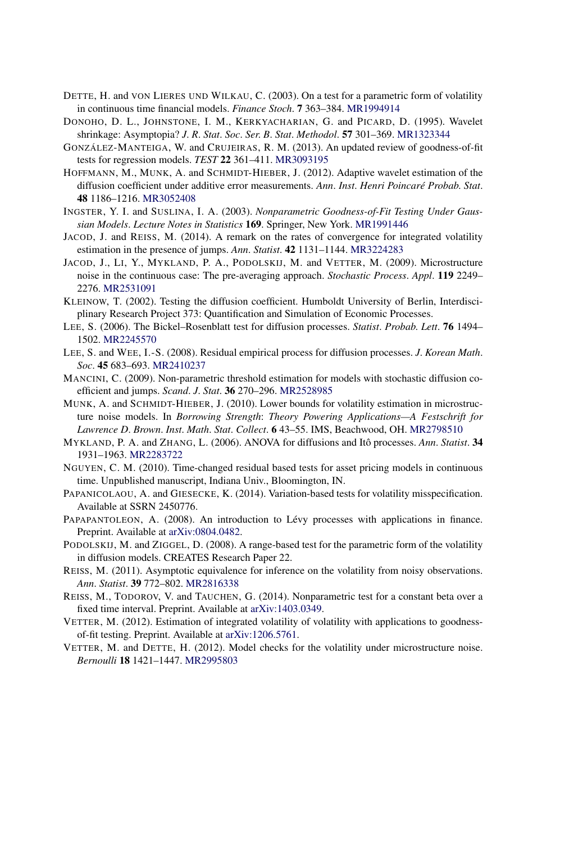- DETTE, H. and VON LIERES UND WILKAU, C. (2003). On a test for a parametric form of volatility in continuous time financial models. *Finance Stoch*. **7** 363–384. [MR1994914](http://www.ams.org/mathscinet-getitem?mr=1994914)
- DONOHO, D. L., JOHNSTONE, I. M., KERKYACHARIAN, G. and PICARD, D. (1995). Wavelet shrinkage: Asymptopia? *J*. *R*. *Stat*. *Soc*. *Ser*. *B*. *Stat*. *Methodol*. **57** 301–369. [MR1323344](http://www.ams.org/mathscinet-getitem?mr=1323344)
- GONZÁLEZ-MANTEIGA, W. and CRUJEIRAS, R. M. (2013). An updated review of goodness-of-fit tests for regression models. *TEST* **22** 361–411. [MR3093195](http://www.ams.org/mathscinet-getitem?mr=3093195)
- HOFFMANN, M., MUNK, A. and SCHMIDT-HIEBER, J. (2012). Adaptive wavelet estimation of the diffusion coefficient under additive error measurements. *Ann*. *Inst*. *Henri Poincaré Probab*. *Stat*. **48** 1186–1216. [MR3052408](http://www.ams.org/mathscinet-getitem?mr=3052408)
- INGSTER, Y. I. and SUSLINA, I. A. (2003). *Nonparametric Goodness-of-Fit Testing Under Gaussian Models*. *Lecture Notes in Statistics* **169**. Springer, New York. [MR1991446](http://www.ams.org/mathscinet-getitem?mr=1991446)
- JACOD, J. and REISS, M. (2014). A remark on the rates of convergence for integrated volatility estimation in the presence of jumps. *Ann*. *Statist*. **42** 1131–1144. [MR3224283](http://www.ams.org/mathscinet-getitem?mr=3224283)
- JACOD, J., LI, Y., MYKLAND, P. A., PODOLSKIJ, M. and VETTER, M. (2009). Microstructure noise in the continuous case: The pre-averaging approach. *Stochastic Process*. *Appl*. **119** 2249– 2276. [MR2531091](http://www.ams.org/mathscinet-getitem?mr=2531091)
- KLEINOW, T. (2002). Testing the diffusion coefficient. Humboldt University of Berlin, Interdisciplinary Research Project 373: Quantification and Simulation of Economic Processes.
- LEE, S. (2006). The Bickel–Rosenblatt test for diffusion processes. *Statist*. *Probab*. *Lett*. **76** 1494– 1502. [MR2245570](http://www.ams.org/mathscinet-getitem?mr=2245570)
- LEE, S. and WEE, I.-S. (2008). Residual empirical process for diffusion processes. *J*. *Korean Math*. *Soc*. **45** 683–693. [MR2410237](http://www.ams.org/mathscinet-getitem?mr=2410237)
- MANCINI, C. (2009). Non-parametric threshold estimation for models with stochastic diffusion coefficient and jumps. *Scand*. *J*. *Stat*. **36** 270–296. [MR2528985](http://www.ams.org/mathscinet-getitem?mr=2528985)
- MUNK, A. and SCHMIDT-HIEBER, J. (2010). Lower bounds for volatility estimation in microstructure noise models. In *Borrowing Strength*: *Theory Powering Applications—A Festschrift for Lawrence D*. *Brown*. *Inst*. *Math*. *Stat*. *Collect*. **6** 43–55. IMS, Beachwood, OH. [MR2798510](http://www.ams.org/mathscinet-getitem?mr=2798510)
- MYKLAND, P. A. and ZHANG, L. (2006). ANOVA for diffusions and Itô processes. *Ann*. *Statist*. **34** 1931–1963. [MR2283722](http://www.ams.org/mathscinet-getitem?mr=2283722)
- NGUYEN, C. M. (2010). Time-changed residual based tests for asset pricing models in continuous time. Unpublished manuscript, Indiana Univ., Bloomington, IN.
- PAPANICOLAOU, A. and GIESECKE, K. (2014). Variation-based tests for volatility misspecification. Available at SSRN 2450776.
- PAPAPANTOLEON, A. (2008). An introduction to Lévy processes with applications in finance. Preprint. Available at [arXiv:0804.0482](http://arxiv.org/abs/arXiv:0804.0482).
- PODOLSKIJ, M. and ZIGGEL, D. (2008). A range-based test for the parametric form of the volatility in diffusion models. CREATES Research Paper 22.
- REISS, M. (2011). Asymptotic equivalence for inference on the volatility from noisy observations. *Ann*. *Statist*. **39** 772–802. [MR2816338](http://www.ams.org/mathscinet-getitem?mr=2816338)
- REISS, M., TODOROV, V. and TAUCHEN, G. (2014). Nonparametric test for a constant beta over a fixed time interval. Preprint. Available at [arXiv:1403.0349.](http://arxiv.org/abs/arXiv:1403.0349)
- VETTER, M. (2012). Estimation of integrated volatility of volatility with applications to goodnessof-fit testing. Preprint. Available at [arXiv:1206.5761.](http://arxiv.org/abs/arXiv:1206.5761)
- VETTER, M. and DETTE, H. (2012). Model checks for the volatility under microstructure noise. *Bernoulli* **18** 1421–1447. [MR2995803](http://www.ams.org/mathscinet-getitem?mr=2995803)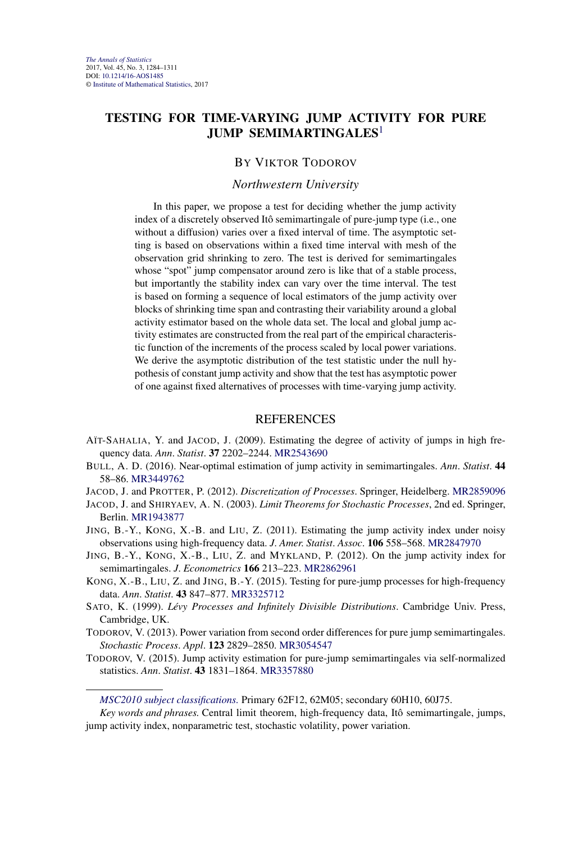# **TESTING FOR TIME-VARYING JUMP ACTIVITY FOR PURE JUMP SEMIMARTINGALES**<sup>1</sup>

#### BY VIKTOR TODOROV

#### *Northwestern University*

In this paper, we propose a test for deciding whether the jump activity index of a discretely observed Itô semimartingale of pure-jump type (i.e., one without a diffusion) varies over a fixed interval of time. The asymptotic setting is based on observations within a fixed time interval with mesh of the observation grid shrinking to zero. The test is derived for semimartingales whose "spot" jump compensator around zero is like that of a stable process, but importantly the stability index can vary over the time interval. The test is based on forming a sequence of local estimators of the jump activity over blocks of shrinking time span and contrasting their variability around a global activity estimator based on the whole data set. The local and global jump activity estimates are constructed from the real part of the empirical characteristic function of the increments of the process scaled by local power variations. We derive the asymptotic distribution of the test statistic under the null hypothesis of constant jump activity and show that the test has asymptotic power of one against fixed alternatives of processes with time-varying jump activity.

- AÏT-SAHALIA, Y. and JACOD, J. (2009). Estimating the degree of activity of jumps in high frequency data. *Ann*. *Statist*. **37** 2202–2244. [MR2543690](http://www.ams.org/mathscinet-getitem?mr=2543690)
- BULL, A. D. (2016). Near-optimal estimation of jump activity in semimartingales. *Ann*. *Statist*. **44** 58–86. [MR3449762](http://www.ams.org/mathscinet-getitem?mr=3449762)
- JACOD, J. and PROTTER, P. (2012). *Discretization of Processes*. Springer, Heidelberg. [MR2859096](http://www.ams.org/mathscinet-getitem?mr=2859096)
- JACOD, J. and SHIRYAEV, A. N. (2003). *Limit Theorems for Stochastic Processes*, 2nd ed. Springer, Berlin. [MR1943877](http://www.ams.org/mathscinet-getitem?mr=1943877)
- JING, B.-Y., KONG, X.-B. and LIU, Z. (2011). Estimating the jump activity index under noisy observations using high-frequency data. *J*. *Amer*. *Statist*. *Assoc*. **106** 558–568. [MR2847970](http://www.ams.org/mathscinet-getitem?mr=2847970)
- JING, B.-Y., KONG, X.-B., LIU, Z. and MYKLAND, P. (2012). On the jump activity index for semimartingales. *J*. *Econometrics* **166** 213–223. [MR2862961](http://www.ams.org/mathscinet-getitem?mr=2862961)
- KONG, X.-B., LIU, Z. and JING, B.-Y. (2015). Testing for pure-jump processes for high-frequency data. *Ann*. *Statist*. **43** 847–877. [MR3325712](http://www.ams.org/mathscinet-getitem?mr=3325712)
- SATO, K. (1999). *Lévy Processes and Infinitely Divisible Distributions*. Cambridge Univ. Press, Cambridge, UK.
- TODOROV, V. (2013). Power variation from second order differences for pure jump semimartingales. *Stochastic Process*. *Appl*. **123** 2829–2850. [MR3054547](http://www.ams.org/mathscinet-getitem?mr=3054547)
- TODOROV, V. (2015). Jump activity estimation for pure-jump semimartingales via self-normalized statistics. *Ann*. *Statist*. **43** 1831–1864. [MR3357880](http://www.ams.org/mathscinet-getitem?mr=3357880)

*[MSC2010 subject classifications.](http://www.ams.org/mathscinet/msc/msc2010.html)* Primary 62F12, 62M05; secondary 60H10, 60J75.

*Key words and phrases.* Central limit theorem, high-frequency data, Itô semimartingale, jumps, jump activity index, nonparametric test, stochastic volatility, power variation.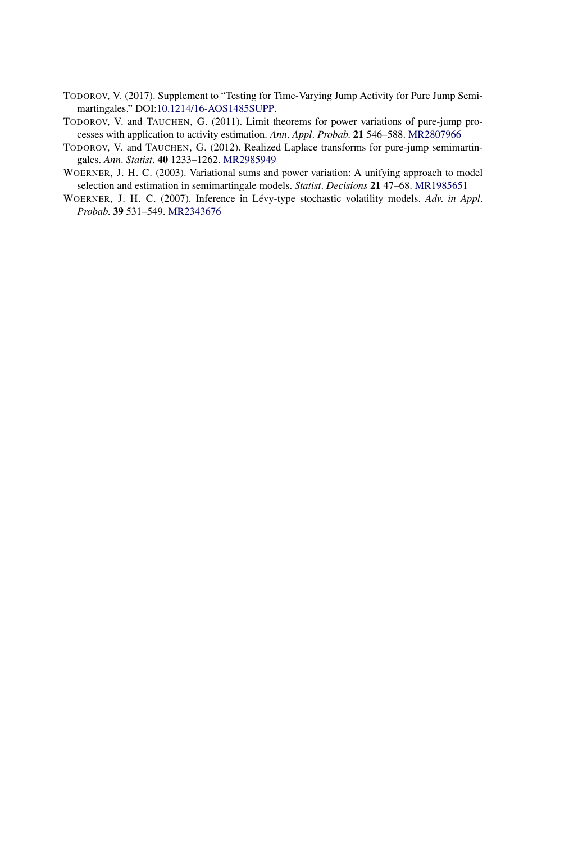- TODOROV, V. (2017). Supplement to "Testing for Time-Varying Jump Activity for Pure Jump Semimartingales." DOI[:10.1214/16-AOS1485SUPP](http://dx.doi.org/10.1214/16-AOS1485SUPP).
- TODOROV, V. and TAUCHEN, G. (2011). Limit theorems for power variations of pure-jump processes with application to activity estimation. *Ann*. *Appl*. *Probab*. **21** 546–588. [MR2807966](http://www.ams.org/mathscinet-getitem?mr=2807966)
- TODOROV, V. and TAUCHEN, G. (2012). Realized Laplace transforms for pure-jump semimartingales. *Ann*. *Statist*. **40** 1233–1262. [MR2985949](http://www.ams.org/mathscinet-getitem?mr=2985949)
- WOERNER, J. H. C. (2003). Variational sums and power variation: A unifying approach to model selection and estimation in semimartingale models. *Statist*. *Decisions* **21** 47–68. [MR1985651](http://www.ams.org/mathscinet-getitem?mr=1985651)
- WOERNER, J. H. C. (2007). Inference in Lévy-type stochastic volatility models. *Adv*. *in Appl*. *Probab*. **39** 531–549. [MR2343676](http://www.ams.org/mathscinet-getitem?mr=2343676)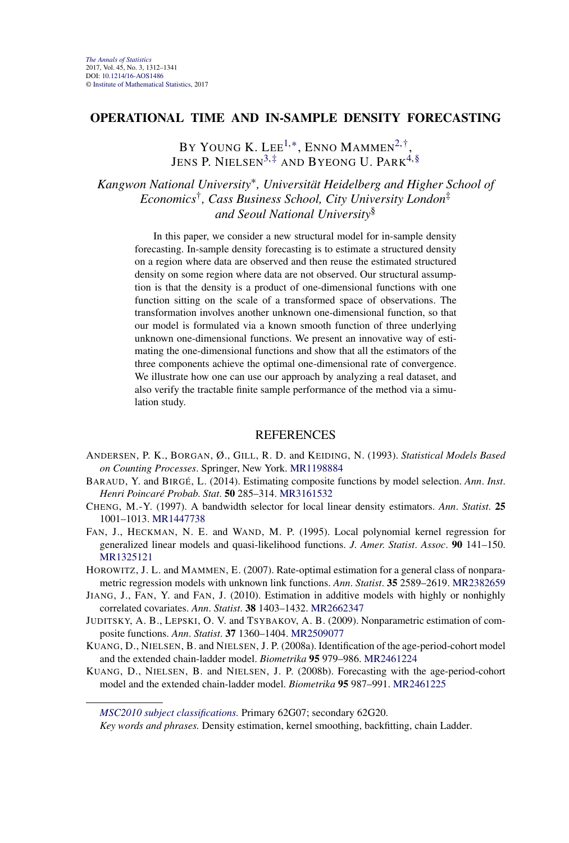#### **OPERATIONAL TIME AND IN-SAMPLE DENSITY FORECASTING**

BY YOUNG K. LEE<sup>1,\*</sup>, ENNO MAMMEN<sup>2,†</sup>, JENS P. NIELSEN<sup>3[,‡](#page-24-0)</sup> AND BYEONG U. PARK<sup>4[,§](#page-24-0)</sup>

*Kangwon National University*∗*, Universität Heidelberg and Higher School of Economics*†*, Cass Business School, City University London*‡ *and Seoul National University*§

In this paper, we consider a new structural model for in-sample density forecasting. In-sample density forecasting is to estimate a structured density on a region where data are observed and then reuse the estimated structured density on some region where data are not observed. Our structural assumption is that the density is a product of one-dimensional functions with one function sitting on the scale of a transformed space of observations. The transformation involves another unknown one-dimensional function, so that our model is formulated via a known smooth function of three underlying unknown one-dimensional functions. We present an innovative way of estimating the one-dimensional functions and show that all the estimators of the three components achieve the optimal one-dimensional rate of convergence. We illustrate how one can use our approach by analyzing a real dataset, and also verify the tractable finite sample performance of the method via a simulation study.

- ANDERSEN, P. K., BORGAN, Ø., GILL, R. D. and KEIDING, N. (1993). *Statistical Models Based on Counting Processes*. Springer, New York. [MR1198884](http://www.ams.org/mathscinet-getitem?mr=1198884)
- BARAUD, Y. and BIRGÉ, L. (2014). Estimating composite functions by model selection. *Ann*. *Inst*. *Henri Poincaré Probab*. *Stat*. **50** 285–314. [MR3161532](http://www.ams.org/mathscinet-getitem?mr=3161532)
- CHENG, M.-Y. (1997). A bandwidth selector for local linear density estimators. *Ann*. *Statist*. **25** 1001–1013. [MR1447738](http://www.ams.org/mathscinet-getitem?mr=1447738)
- FAN, J., HECKMAN, N. E. and WAND, M. P. (1995). Local polynomial kernel regression for generalized linear models and quasi-likelihood functions. *J*. *Amer*. *Statist*. *Assoc*. **90** 141–150. [MR1325121](http://www.ams.org/mathscinet-getitem?mr=1325121)
- HOROWITZ, J. L. and MAMMEN, E. (2007). Rate-optimal estimation for a general class of nonparametric regression models with unknown link functions. *Ann*. *Statist*. **35** 2589–2619. [MR2382659](http://www.ams.org/mathscinet-getitem?mr=2382659)
- JIANG, J., FAN, Y. and FAN, J. (2010). Estimation in additive models with highly or nonhighly correlated covariates. *Ann*. *Statist*. **38** 1403–1432. [MR2662347](http://www.ams.org/mathscinet-getitem?mr=2662347)
- JUDITSKY, A. B., LEPSKI, O. V. and TSYBAKOV, A. B. (2009). Nonparametric estimation of composite functions. *Ann*. *Statist*. **37** 1360–1404. [MR2509077](http://www.ams.org/mathscinet-getitem?mr=2509077)
- KUANG, D., NIELSEN, B. and NIELSEN, J. P. (2008a). Identification of the age-period-cohort model and the extended chain-ladder model. *Biometrika* **95** 979–986. [MR2461224](http://www.ams.org/mathscinet-getitem?mr=2461224)
- KUANG, D., NIELSEN, B. and NIELSEN, J. P. (2008b). Forecasting with the age-period-cohort model and the extended chain-ladder model. *Biometrika* **95** 987–991. [MR2461225](http://www.ams.org/mathscinet-getitem?mr=2461225)

*[MSC2010 subject classifications.](http://www.ams.org/mathscinet/msc/msc2010.html)* Primary 62G07; secondary 62G20.

*Key words and phrases.* Density estimation, kernel smoothing, backfitting, chain Ladder.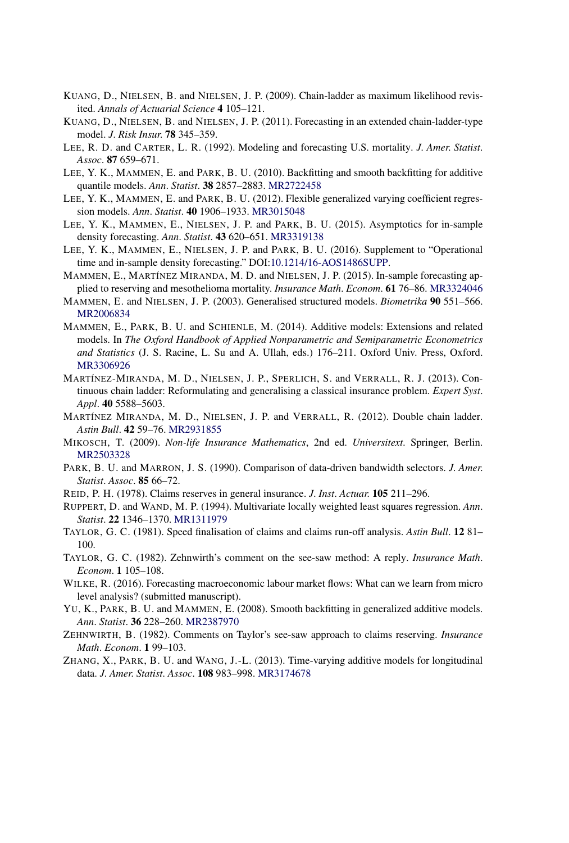- KUANG, D., NIELSEN, B. and NIELSEN, J. P. (2009). Chain-ladder as maximum likelihood revisited. *Annals of Actuarial Science* **4** 105–121.
- KUANG, D., NIELSEN, B. and NIELSEN, J. P. (2011). Forecasting in an extended chain-ladder-type model. *J*. *Risk Insur*. **78** 345–359.
- LEE, R. D. and CARTER, L. R. (1992). Modeling and forecasting U.S. mortality. *J*. *Amer*. *Statist*. *Assoc*. **87** 659–671.
- LEE, Y. K., MAMMEN, E. and PARK, B. U. (2010). Backfitting and smooth backfitting for additive quantile models. *Ann*. *Statist*. **38** 2857–2883. [MR2722458](http://www.ams.org/mathscinet-getitem?mr=2722458)
- LEE, Y. K., MAMMEN, E. and PARK, B. U. (2012). Flexible generalized varying coefficient regression models. *Ann*. *Statist*. **40** 1906–1933. [MR3015048](http://www.ams.org/mathscinet-getitem?mr=3015048)
- LEE, Y. K., MAMMEN, E., NIELSEN, J. P. and PARK, B. U. (2015). Asymptotics for in-sample density forecasting. *Ann*. *Statist*. **43** 620–651. [MR3319138](http://www.ams.org/mathscinet-getitem?mr=3319138)
- LEE, Y. K., MAMMEN, E., NIELSEN, J. P. and PARK, B. U. (2016). Supplement to "Operational time and in-sample density forecasting." DOI[:10.1214/16-AOS1486SUPP.](http://dx.doi.org/10.1214/16-AOS1486SUPP)
- MAMMEN, E., MARTÍNEZ MIRANDA, M. D. and NIELSEN, J. P. (2015). In-sample forecasting applied to reserving and mesothelioma mortality. *Insurance Math*. *Econom*. **61** 76–86. [MR3324046](http://www.ams.org/mathscinet-getitem?mr=3324046)
- MAMMEN, E. and NIELSEN, J. P. (2003). Generalised structured models. *Biometrika* **90** 551–566. [MR2006834](http://www.ams.org/mathscinet-getitem?mr=2006834)
- MAMMEN, E., PARK, B. U. and SCHIENLE, M. (2014). Additive models: Extensions and related models. In *The Oxford Handbook of Applied Nonparametric and Semiparametric Econometrics and Statistics* (J. S. Racine, L. Su and A. Ullah, eds.) 176–211. Oxford Univ. Press, Oxford. [MR3306926](http://www.ams.org/mathscinet-getitem?mr=3306926)
- MARTÍNEZ-MIRANDA, M. D., NIELSEN, J. P., SPERLICH, S. and VERRALL, R. J. (2013). Continuous chain ladder: Reformulating and generalising a classical insurance problem. *Expert Syst*. *Appl*. **40** 5588–5603.
- MARTÍNEZ MIRANDA, M. D., NIELSEN, J. P. and VERRALL, R. (2012). Double chain ladder. *Astin Bull*. **42** 59–76. [MR2931855](http://www.ams.org/mathscinet-getitem?mr=2931855)
- MIKOSCH, T. (2009). *Non-life Insurance Mathematics*, 2nd ed. *Universitext*. Springer, Berlin. [MR2503328](http://www.ams.org/mathscinet-getitem?mr=2503328)
- PARK, B. U. and MARRON, J. S. (1990). Comparison of data-driven bandwidth selectors. *J*. *Amer*. *Statist*. *Assoc*. **85** 66–72.
- REID, P. H. (1978). Claims reserves in general insurance. *J*. *Inst*. *Actuar*. **105** 211–296.
- RUPPERT, D. and WAND, M. P. (1994). Multivariate locally weighted least squares regression. *Ann*. *Statist*. **22** 1346–1370. [MR1311979](http://www.ams.org/mathscinet-getitem?mr=1311979)
- TAYLOR, G. C. (1981). Speed finalisation of claims and claims run-off analysis. *Astin Bull*. **12** 81– 100.
- TAYLOR, G. C. (1982). Zehnwirth's comment on the see-saw method: A reply. *Insurance Math*. *Econom*. **1** 105–108.
- WILKE, R. (2016). Forecasting macroeconomic labour market flows: What can we learn from micro level analysis? (submitted manuscript).
- YU, K., PARK, B. U. and MAMMEN, E. (2008). Smooth backfitting in generalized additive models. *Ann*. *Statist*. **36** 228–260. [MR2387970](http://www.ams.org/mathscinet-getitem?mr=2387970)
- ZEHNWIRTH, B. (1982). Comments on Taylor's see-saw approach to claims reserving. *Insurance Math*. *Econom*. **1** 99–103.
- ZHANG, X., PARK, B. U. and WANG, J.-L. (2013). Time-varying additive models for longitudinal data. *J*. *Amer*. *Statist*. *Assoc*. **108** 983–998. [MR3174678](http://www.ams.org/mathscinet-getitem?mr=3174678)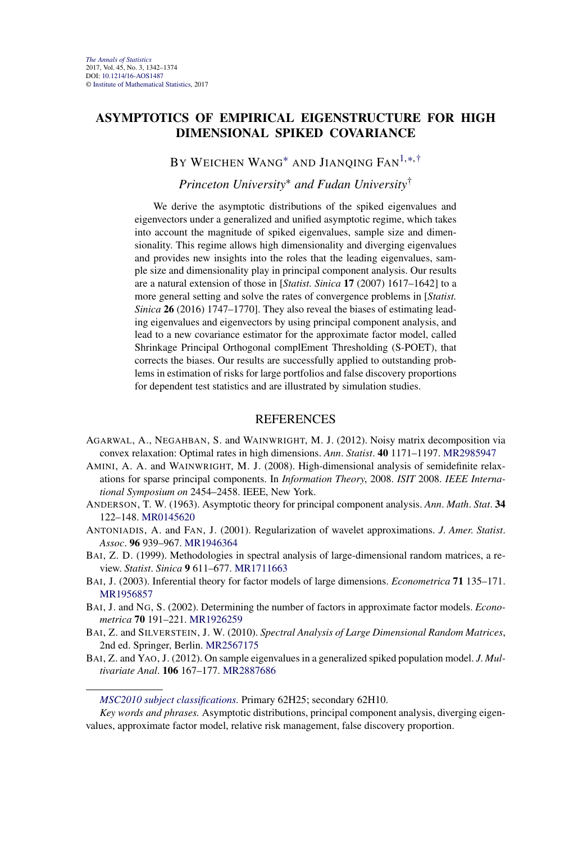# **ASYMPTOTICS OF EMPIRICAL EIGENSTRUCTURE FOR HIGH DIMENSIONAL SPIKED COVARIANCE**

### BY WEICHEN WANG<sup>\*</sup> AND JIANQING FAN<sup>1,\*,[†](#page-24-0)</sup>

#### *Princeton University*<sup>∗</sup> *and Fudan University*†

We derive the asymptotic distributions of the spiked eigenvalues and eigenvectors under a generalized and unified asymptotic regime, which takes into account the magnitude of spiked eigenvalues, sample size and dimensionality. This regime allows high dimensionality and diverging eigenvalues and provides new insights into the roles that the leading eigenvalues, sample size and dimensionality play in principal component analysis. Our results are a natural extension of those in [*Statist. Sinica* **17** (2007) 1617–1642] to a more general setting and solve the rates of convergence problems in [*Statist. Sinica* **26** (2016) 1747–1770]. They also reveal the biases of estimating leading eigenvalues and eigenvectors by using principal component analysis, and lead to a new covariance estimator for the approximate factor model, called Shrinkage Principal Orthogonal complEment Thresholding (S-POET), that corrects the biases. Our results are successfully applied to outstanding problems in estimation of risks for large portfolios and false discovery proportions for dependent test statistics and are illustrated by simulation studies.

- AGARWAL, A., NEGAHBAN, S. and WAINWRIGHT, M. J. (2012). Noisy matrix decomposition via convex relaxation: Optimal rates in high dimensions. *Ann*. *Statist*. **40** 1171–1197. [MR2985947](http://www.ams.org/mathscinet-getitem?mr=2985947)
- AMINI, A. A. and WAINWRIGHT, M. J. (2008). High-dimensional analysis of semidefinite relaxations for sparse principal components. In *Information Theory*, 2008. *ISIT* 2008. *IEEE International Symposium on* 2454–2458. IEEE, New York.
- ANDERSON, T. W. (1963). Asymptotic theory for principal component analysis. *Ann*. *Math*. *Stat*. **34** 122–148. [MR0145620](http://www.ams.org/mathscinet-getitem?mr=0145620)
- ANTONIADIS, A. and FAN, J. (2001). Regularization of wavelet approximations. *J*. *Amer*. *Statist*. *Assoc*. **96** 939–967. [MR1946364](http://www.ams.org/mathscinet-getitem?mr=1946364)
- BAI, Z. D. (1999). Methodologies in spectral analysis of large-dimensional random matrices, a review. *Statist*. *Sinica* **9** 611–677. [MR1711663](http://www.ams.org/mathscinet-getitem?mr=1711663)
- BAI, J. (2003). Inferential theory for factor models of large dimensions. *Econometrica* **71** 135–171. [MR1956857](http://www.ams.org/mathscinet-getitem?mr=1956857)
- BAI, J. and NG, S. (2002). Determining the number of factors in approximate factor models. *Econometrica* **70** 191–221. [MR1926259](http://www.ams.org/mathscinet-getitem?mr=1926259)
- BAI, Z. and SILVERSTEIN, J. W. (2010). *Spectral Analysis of Large Dimensional Random Matrices*, 2nd ed. Springer, Berlin. [MR2567175](http://www.ams.org/mathscinet-getitem?mr=2567175)
- BAI, Z. and YAO, J. (2012). On sample eigenvalues in a generalized spiked population model. *J*. *Multivariate Anal*. **106** 167–177. [MR2887686](http://www.ams.org/mathscinet-getitem?mr=2887686)

*[MSC2010 subject classifications.](http://www.ams.org/mathscinet/msc/msc2010.html)* Primary 62H25; secondary 62H10.

*Key words and phrases.* Asymptotic distributions, principal component analysis, diverging eigenvalues, approximate factor model, relative risk management, false discovery proportion.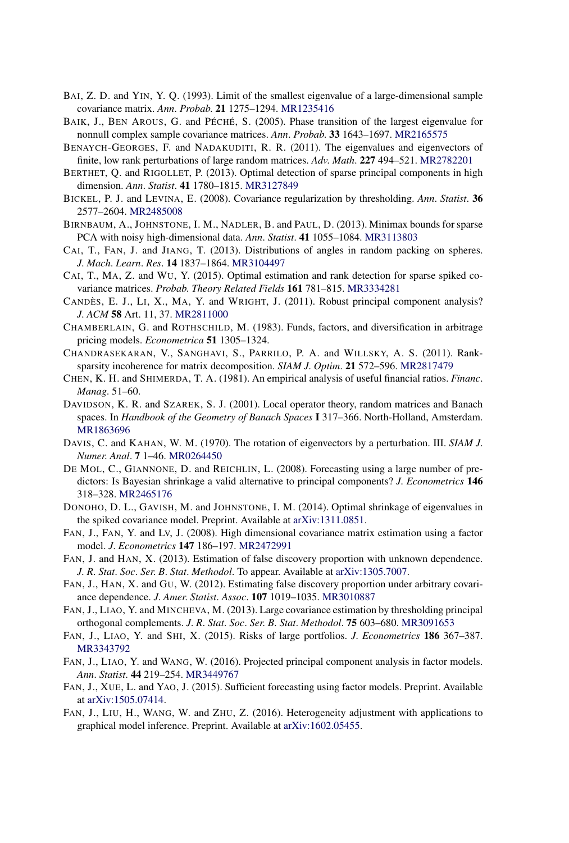- BAI, Z. D. and YIN, Y. Q. (1993). Limit of the smallest eigenvalue of a large-dimensional sample covariance matrix. *Ann*. *Probab*. **21** 1275–1294. [MR1235416](http://www.ams.org/mathscinet-getitem?mr=1235416)
- BAIK, J., BEN AROUS, G. and PÉCHÉ, S. (2005). Phase transition of the largest eigenvalue for nonnull complex sample covariance matrices. *Ann*. *Probab*. **33** 1643–1697. [MR2165575](http://www.ams.org/mathscinet-getitem?mr=2165575)
- BENAYCH-GEORGES, F. and NADAKUDITI, R. R. (2011). The eigenvalues and eigenvectors of finite, low rank perturbations of large random matrices. *Adv*. *Math*. **227** 494–521. [MR2782201](http://www.ams.org/mathscinet-getitem?mr=2782201)
- BERTHET, Q. and RIGOLLET, P. (2013). Optimal detection of sparse principal components in high dimension. *Ann*. *Statist*. **41** 1780–1815. [MR3127849](http://www.ams.org/mathscinet-getitem?mr=3127849)
- BICKEL, P. J. and LEVINA, E. (2008). Covariance regularization by thresholding. *Ann*. *Statist*. **36** 2577–2604. [MR2485008](http://www.ams.org/mathscinet-getitem?mr=2485008)
- BIRNBAUM, A., JOHNSTONE, I. M., NADLER, B. and PAUL, D. (2013). Minimax bounds for sparse PCA with noisy high-dimensional data. *Ann*. *Statist*. **41** 1055–1084. [MR3113803](http://www.ams.org/mathscinet-getitem?mr=3113803)
- CAI, T., FAN, J. and JIANG, T. (2013). Distributions of angles in random packing on spheres. *J*. *Mach*. *Learn*. *Res*. **14** 1837–1864. [MR3104497](http://www.ams.org/mathscinet-getitem?mr=3104497)
- CAI, T., MA, Z. and WU, Y. (2015). Optimal estimation and rank detection for sparse spiked covariance matrices. *Probab*. *Theory Related Fields* **161** 781–815. [MR3334281](http://www.ams.org/mathscinet-getitem?mr=3334281)
- CANDÈS, E. J., LI, X., MA, Y. and WRIGHT, J. (2011). Robust principal component analysis? *J*. *ACM* **58** Art. 11, 37. [MR2811000](http://www.ams.org/mathscinet-getitem?mr=2811000)
- CHAMBERLAIN, G. and ROTHSCHILD, M. (1983). Funds, factors, and diversification in arbitrage pricing models. *Econometrica* **51** 1305–1324.
- CHANDRASEKARAN, V., SANGHAVI, S., PARRILO, P. A. and WILLSKY, A. S. (2011). Ranksparsity incoherence for matrix decomposition. *SIAM J*. *Optim*. **21** 572–596. [MR2817479](http://www.ams.org/mathscinet-getitem?mr=2817479)
- CHEN, K. H. and SHIMERDA, T. A. (1981). An empirical analysis of useful financial ratios. *Financ*. *Manag*. 51–60.
- DAVIDSON, K. R. and SZAREK, S. J. (2001). Local operator theory, random matrices and Banach spaces. In *Handbook of the Geometry of Banach Spaces* **I** 317–366. North-Holland, Amsterdam. [MR1863696](http://www.ams.org/mathscinet-getitem?mr=1863696)
- DAVIS, C. and KAHAN, W. M. (1970). The rotation of eigenvectors by a perturbation. III. *SIAM J*. *Numer*. *Anal*. **7** 1–46. [MR0264450](http://www.ams.org/mathscinet-getitem?mr=0264450)
- DE MOL, C., GIANNONE, D. and REICHLIN, L. (2008). Forecasting using a large number of predictors: Is Bayesian shrinkage a valid alternative to principal components? *J*. *Econometrics* **146** 318–328. [MR2465176](http://www.ams.org/mathscinet-getitem?mr=2465176)
- DONOHO, D. L., GAVISH, M. and JOHNSTONE, I. M. (2014). Optimal shrinkage of eigenvalues in the spiked covariance model. Preprint. Available at [arXiv:1311.0851](http://arxiv.org/abs/arXiv:1311.0851).
- FAN, J., FAN, Y. and LV, J. (2008). High dimensional covariance matrix estimation using a factor model. *J*. *Econometrics* **147** 186–197. [MR2472991](http://www.ams.org/mathscinet-getitem?mr=2472991)
- FAN, J. and HAN, X. (2013). Estimation of false discovery proportion with unknown dependence. *J*. *R*. *Stat*. *Soc*. *Ser*. *B*. *Stat*. *Methodol*. To appear. Available at [arXiv:1305.7007.](http://arxiv.org/abs/arXiv:1305.7007)
- FAN, J., HAN, X. and GU, W. (2012). Estimating false discovery proportion under arbitrary covariance dependence. *J*. *Amer*. *Statist*. *Assoc*. **107** 1019–1035. [MR3010887](http://www.ams.org/mathscinet-getitem?mr=3010887)
- FAN, J., LIAO, Y. and MINCHEVA, M. (2013). Large covariance estimation by thresholding principal orthogonal complements. *J*. *R*. *Stat*. *Soc*. *Ser*. *B*. *Stat*. *Methodol*. **75** 603–680. [MR3091653](http://www.ams.org/mathscinet-getitem?mr=3091653)
- FAN, J., LIAO, Y. and SHI, X. (2015). Risks of large portfolios. *J*. *Econometrics* **186** 367–387. [MR3343792](http://www.ams.org/mathscinet-getitem?mr=3343792)
- FAN, J., LIAO, Y. and WANG, W. (2016). Projected principal component analysis in factor models. *Ann*. *Statist*. **44** 219–254. [MR3449767](http://www.ams.org/mathscinet-getitem?mr=3449767)
- FAN, J., XUE, L. and YAO, J. (2015). Sufficient forecasting using factor models. Preprint. Available at [arXiv:1505.07414.](http://arxiv.org/abs/arXiv:1505.07414)
- FAN, J., LIU, H., WANG, W. and ZHU, Z. (2016). Heterogeneity adjustment with applications to graphical model inference. Preprint. Available at [arXiv:1602.05455.](http://arxiv.org/abs/arXiv:1602.05455)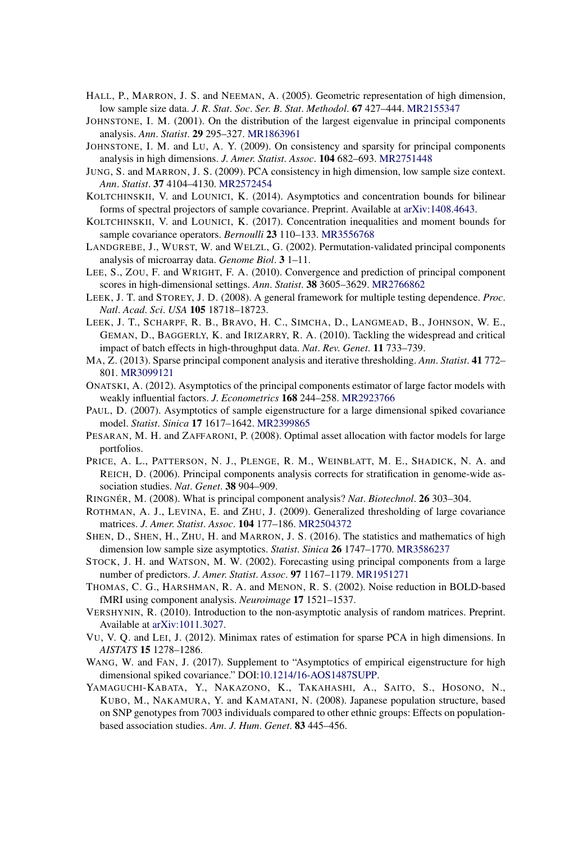- HALL, P., MARRON, J. S. and NEEMAN, A. (2005). Geometric representation of high dimension, low sample size data. *J*. *R*. *Stat*. *Soc*. *Ser*. *B*. *Stat*. *Methodol*. **67** 427–444. [MR2155347](http://www.ams.org/mathscinet-getitem?mr=2155347)
- JOHNSTONE, I. M. (2001). On the distribution of the largest eigenvalue in principal components analysis. *Ann*. *Statist*. **29** 295–327. [MR1863961](http://www.ams.org/mathscinet-getitem?mr=1863961)
- JOHNSTONE, I. M. and LU, A. Y. (2009). On consistency and sparsity for principal components analysis in high dimensions. *J*. *Amer*. *Statist*. *Assoc*. **104** 682–693. [MR2751448](http://www.ams.org/mathscinet-getitem?mr=2751448)
- JUNG, S. and MARRON, J. S. (2009). PCA consistency in high dimension, low sample size context. *Ann*. *Statist*. **37** 4104–4130. [MR2572454](http://www.ams.org/mathscinet-getitem?mr=2572454)
- KOLTCHINSKII, V. and LOUNICI, K. (2014). Asymptotics and concentration bounds for bilinear forms of spectral projectors of sample covariance. Preprint. Available at [arXiv:1408.4643.](http://arxiv.org/abs/arXiv:1408.4643)
- KOLTCHINSKII, V. and LOUNICI, K. (2017). Concentration inequalities and moment bounds for sample covariance operators. *Bernoulli* **23** 110–133. [MR3556768](http://www.ams.org/mathscinet-getitem?mr=3556768)
- LANDGREBE, J., WURST, W. and WELZL, G. (2002). Permutation-validated principal components analysis of microarray data. *Genome Biol*. **3** 1–11.
- LEE, S., ZOU, F. and WRIGHT, F. A. (2010). Convergence and prediction of principal component scores in high-dimensional settings. *Ann*. *Statist*. **38** 3605–3629. [MR2766862](http://www.ams.org/mathscinet-getitem?mr=2766862)
- LEEK, J. T. and STOREY, J. D. (2008). A general framework for multiple testing dependence. *Proc*. *Natl*. *Acad*. *Sci*. *USA* **105** 18718–18723.
- LEEK, J. T., SCHARPF, R. B., BRAVO, H. C., SIMCHA, D., LANGMEAD, B., JOHNSON, W. E., GEMAN, D., BAGGERLY, K. and IRIZARRY, R. A. (2010). Tackling the widespread and critical impact of batch effects in high-throughput data. *Nat*. *Rev*. *Genet*. **11** 733–739.
- MA, Z. (2013). Sparse principal component analysis and iterative thresholding. *Ann*. *Statist*. **41** 772– 801. [MR3099121](http://www.ams.org/mathscinet-getitem?mr=3099121)
- ONATSKI, A. (2012). Asymptotics of the principal components estimator of large factor models with weakly influential factors. *J*. *Econometrics* **168** 244–258. [MR2923766](http://www.ams.org/mathscinet-getitem?mr=2923766)
- PAUL, D. (2007). Asymptotics of sample eigenstructure for a large dimensional spiked covariance model. *Statist*. *Sinica* **17** 1617–1642. [MR2399865](http://www.ams.org/mathscinet-getitem?mr=2399865)
- PESARAN, M. H. and ZAFFARONI, P. (2008). Optimal asset allocation with factor models for large portfolios.
- PRICE, A. L., PATTERSON, N. J., PLENGE, R. M., WEINBLATT, M. E., SHADICK, N. A. and REICH, D. (2006). Principal components analysis corrects for stratification in genome-wide association studies. *Nat*. *Genet*. **38** 904–909.
- RINGNÉR, M. (2008). What is principal component analysis? *Nat*. *Biotechnol*. **26** 303–304.
- ROTHMAN, A. J., LEVINA, E. and ZHU, J. (2009). Generalized thresholding of large covariance matrices. *J*. *Amer*. *Statist*. *Assoc*. **104** 177–186. [MR2504372](http://www.ams.org/mathscinet-getitem?mr=2504372)
- SHEN, D., SHEN, H., ZHU, H. and MARRON, J. S. (2016). The statistics and mathematics of high dimension low sample size asymptotics. *Statist*. *Sinica* **26** 1747–1770. [MR3586237](http://www.ams.org/mathscinet-getitem?mr=3586237)
- STOCK, J. H. and WATSON, M. W. (2002). Forecasting using principal components from a large number of predictors. *J*. *Amer*. *Statist*. *Assoc*. **97** 1167–1179. [MR1951271](http://www.ams.org/mathscinet-getitem?mr=1951271)
- THOMAS, C. G., HARSHMAN, R. A. and MENON, R. S. (2002). Noise reduction in BOLD-based fMRI using component analysis. *Neuroimage* **17** 1521–1537.
- VERSHYNIN, R. (2010). Introduction to the non-asymptotic analysis of random matrices. Preprint. Available at [arXiv:1011.3027](http://arxiv.org/abs/arXiv:1011.3027).
- VU, V. Q. and LEI, J. (2012). Minimax rates of estimation for sparse PCA in high dimensions. In *AISTATS* **15** 1278–1286.
- WANG, W. and FAN, J. (2017). Supplement to "Asymptotics of empirical eigenstructure for high dimensional spiked covariance." DOI[:10.1214/16-AOS1487SUPP](http://dx.doi.org/10.1214/16-AOS1487SUPP).
- YAMAGUCHI-KABATA, Y., NAKAZONO, K., TAKAHASHI, A., SAITO, S., HOSONO, N., KUBO, M., NAKAMURA, Y. and KAMATANI, N. (2008). Japanese population structure, based on SNP genotypes from 7003 individuals compared to other ethnic groups: Effects on populationbased association studies. *Am*. *J*. *Hum*. *Genet*. **83** 445–456.